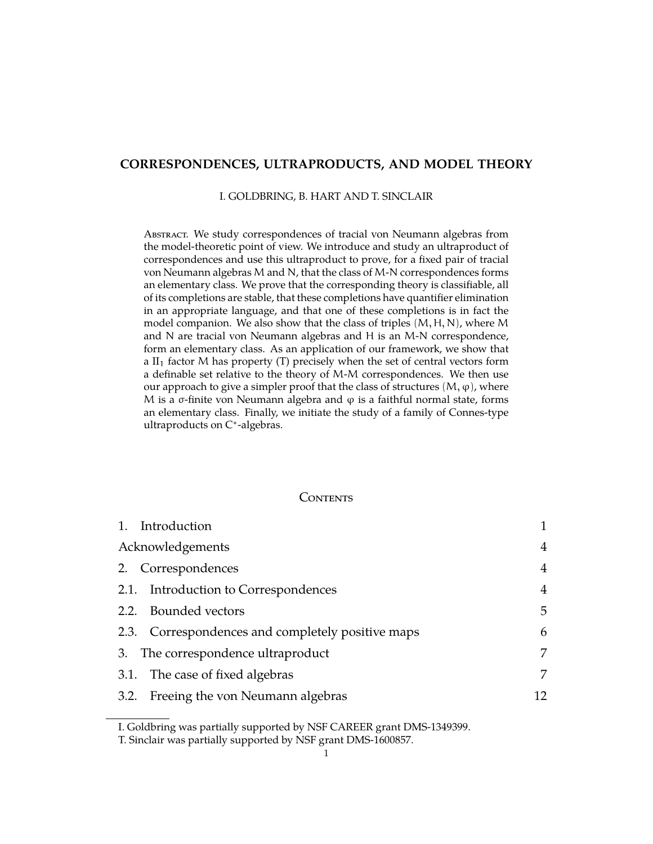# **CORRESPONDENCES, ULTRAPRODUCTS, AND MODEL THEORY**

#### I. GOLDBRING, B. HART AND T. SINCLAIR

ABSTRACT. We study correspondences of tracial von Neumann algebras from the model-theoretic point of view. We introduce and study an ultraproduct of correspondences and use this ultraproduct to prove, for a fixed pair of tracial von Neumann algebras M and N, that the class of M-N correspondences forms an elementary class. We prove that the corresponding theory is classifiable, all of its completions are stable, that these completions have quantifier elimination in an appropriate language, and that one of these completions is in fact the model companion. We also show that the class of triples  $(M, H, N)$ , where M and N are tracial von Neumann algebras and H is an M-N correspondence, form an elementary class. As an application of our framework, we show that a  $II_1$  factor M has property (T) precisely when the set of central vectors form a definable set relative to the theory of M-M correspondences. We then use our approach to give a simpler proof that the class of structures  $(M, \varphi)$ , where M is a  $\sigma$ -finite von Neumann algebra and  $\varphi$  is a faithful normal state, forms an elementary class. Finally, we initiate the study of a family of Connes-type ultraproducts on C<sup>\*</sup>-algebras.

#### <span id="page-0-0"></span>**CONTENTS**

| 1. Introduction                                   |    |
|---------------------------------------------------|----|
| Acknowledgements                                  | 4  |
| 2. Correspondences                                | 4  |
| 2.1. Introduction to Correspondences              | 4  |
| 2.2. Bounded vectors                              | 5  |
| 2.3. Correspondences and completely positive maps | 6  |
| 3. The correspondence ultraproduct                | 7  |
| 3.1. The case of fixed algebras                   | 7  |
| 3.2. Freeing the von Neumann algebras             | 12 |

I. Goldbring was partially supported by NSF CAREER grant DMS-1349399.

T. Sinclair was partially supported by NSF grant DMS-1600857.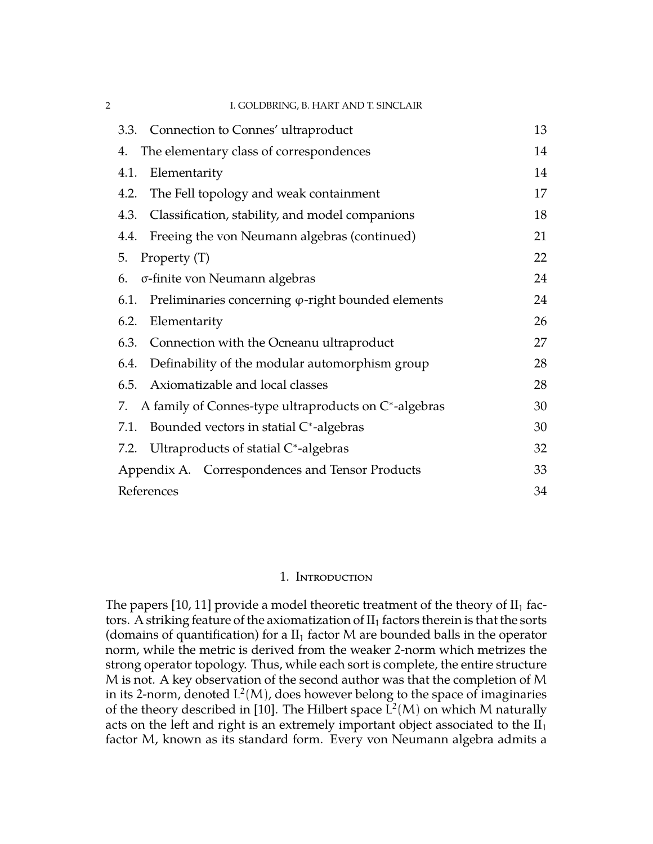| 2 | I. GOLDBRING, B. HART AND T. SINCLAIR                              |    |
|---|--------------------------------------------------------------------|----|
|   | 3.3. Connection to Connes' ultraproduct                            | 13 |
|   | The elementary class of correspondences<br>4.                      | 14 |
|   | Elementarity<br>4.1.                                               | 14 |
|   | The Fell topology and weak containment<br>4.2.                     | 17 |
|   | Classification, stability, and model companions<br>4.3.            | 18 |
|   | Freeing the von Neumann algebras (continued)<br>4.4.               | 21 |
|   | 5.<br>Property (T)                                                 | 22 |
|   | σ-finite von Neumann algebras<br>6.                                | 24 |
|   | Preliminaries concerning $\varphi$ -right bounded elements<br>6.1. | 24 |
|   | Elementarity<br>6.2.                                               | 26 |
|   | Connection with the Ocneanu ultraproduct<br>6.3.                   | 27 |
|   | Definability of the modular automorphism group<br>6.4.             | 28 |
|   | Axiomatizable and local classes<br>6.5.                            | 28 |
|   | A family of Connes-type ultraproducts on C*-algebras<br>7.         | 30 |
|   | Bounded vectors in statial C*-algebras<br>7.1.                     | 30 |
|   | 7.2. Ultraproducts of statial C*-algebras                          | 32 |
|   | Appendix A. Correspondences and Tensor Products                    | 33 |
|   | References                                                         | 34 |

# 1. Introduction

<span id="page-1-0"></span>The papers [\[10,](#page-34-0) [11\]](#page-34-1) provide a model theoretic treatment of the theory of  $II_1$  factors. A striking feature of the axiomatization of  $II_1$  factors therein is that the sorts (domains of quantification) for a  $II_1$  factor M are bounded balls in the operator norm, while the metric is derived from the weaker 2-norm which metrizes the strong operator topology. Thus, while each sort is complete, the entire structure M is not. A key observation of the second author was that the completion of M in its 2-norm, denoted  $\text{L}^2(\text{M})$ , does however belong to the space of imaginaries of the theory described in [\[10\]](#page-34-0). The Hilbert space  $L^2(M)$  on which M naturally acts on the left and right is an extremely important object associated to the  $II<sub>1</sub>$ factor M, known as its standard form. Every von Neumann algebra admits a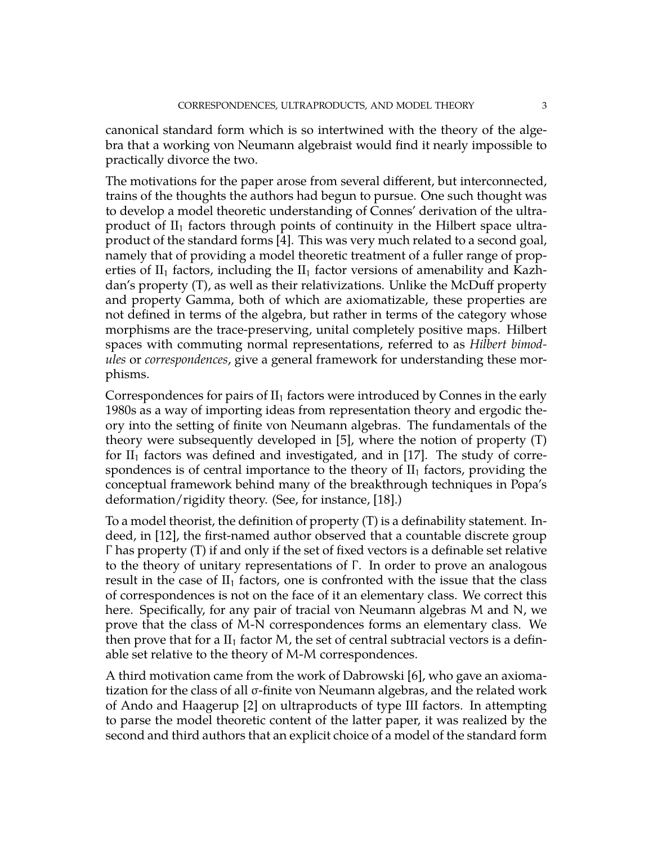canonical standard form which is so intertwined with the theory of the algebra that a working von Neumann algebraist would find it nearly impossible to practically divorce the two.

The motivations for the paper arose from several different, but interconnected, trains of the thoughts the authors had begun to pursue. One such thought was to develop a model theoretic understanding of Connes' derivation of the ultraproduct of  $II_1$  factors through points of continuity in the Hilbert space ultraproduct of the standard forms [\[4\]](#page-34-2). This was very much related to a second goal, namely that of providing a model theoretic treatment of a fuller range of properties of  $II_1$  factors, including the  $II_1$  factor versions of amenability and Kazhdan's property (T), as well as their relativizations. Unlike the McDuff property and property Gamma, both of which are axiomatizable, these properties are not defined in terms of the algebra, but rather in terms of the category whose morphisms are the trace-preserving, unital completely positive maps. Hilbert spaces with commuting normal representations, referred to as *Hilbert bimodules* or *correspondences*, give a general framework for understanding these morphisms.

Correspondences for pairs of  $II_1$  factors were introduced by Connes in the early 1980s as a way of importing ideas from representation theory and ergodic theory into the setting of finite von Neumann algebras. The fundamentals of the theory were subsequently developed in [\[5\]](#page-34-3), where the notion of property (T) for  $II_1$  factors was defined and investigated, and in [\[17\]](#page-34-4). The study of correspondences is of central importance to the theory of  $II<sub>1</sub>$  factors, providing the conceptual framework behind many of the breakthrough techniques in Popa's deformation/rigidity theory. (See, for instance, [\[18\]](#page-34-5).)

To a model theorist, the definition of property (T) is a definability statement. Indeed, in [\[12\]](#page-34-6), the first-named author observed that a countable discrete group Γ has property (T) if and only if the set of fixed vectors is a definable set relative to the theory of unitary representations of Γ . In order to prove an analogous result in the case of  $II_1$  factors, one is confronted with the issue that the class of correspondences is not on the face of it an elementary class. We correct this here. Specifically, for any pair of tracial von Neumann algebras M and N, we prove that the class of M-N correspondences forms an elementary class. We then prove that for a  $II_1$  factor M, the set of central subtracial vectors is a definable set relative to the theory of M-M correspondences.

A third motivation came from the work of Dabrowski [\[6\]](#page-34-7), who gave an axiomatization for the class of all σ-finite von Neumann algebras, and the related work of Ando and Haagerup [\[2\]](#page-34-8) on ultraproducts of type III factors. In attempting to parse the model theoretic content of the latter paper, it was realized by the second and third authors that an explicit choice of a model of the standard form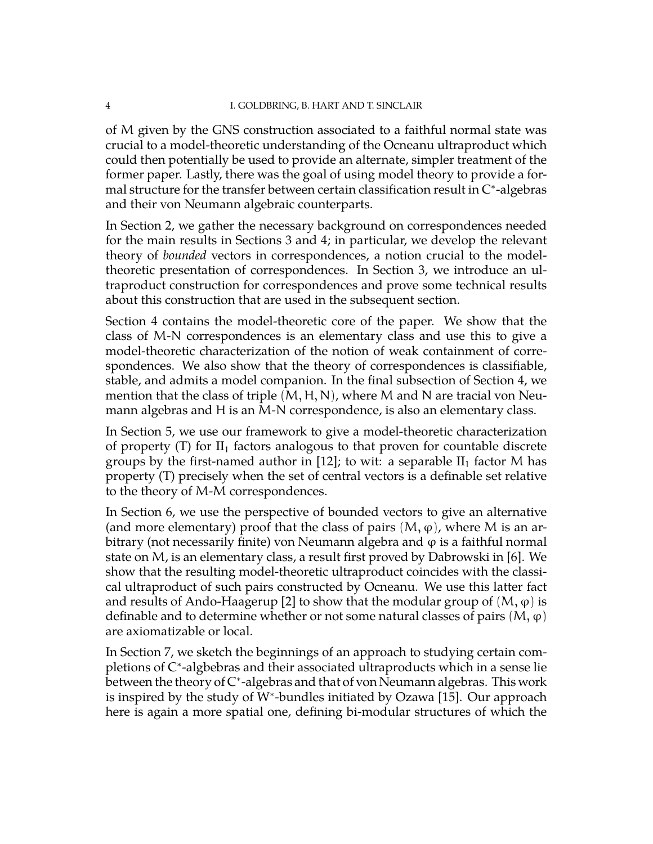of M given by the GNS construction associated to a faithful normal state was crucial to a model-theoretic understanding of the Ocneanu ultraproduct which could then potentially be used to provide an alternate, simpler treatment of the former paper. Lastly, there was the goal of using model theory to provide a formal structure for the transfer between certain classification result in C<sup>∗</sup> -algebras and their von Neumann algebraic counterparts.

In Section 2, we gather the necessary background on correspondences needed for the main results in Sections 3 and 4; in particular, we develop the relevant theory of *bounded* vectors in correspondences, a notion crucial to the modeltheoretic presentation of correspondences. In Section 3, we introduce an ultraproduct construction for correspondences and prove some technical results about this construction that are used in the subsequent section.

Section 4 contains the model-theoretic core of the paper. We show that the class of M-N correspondences is an elementary class and use this to give a model-theoretic characterization of the notion of weak containment of correspondences. We also show that the theory of correspondences is classifiable, stable, and admits a model companion. In the final subsection of Section 4, we mention that the class of triple  $(M, H, N)$ , where M and N are tracial von Neumann algebras and H is an M-N correspondence, is also an elementary class.

In Section 5, we use our framework to give a model-theoretic characterization of property  $(T)$  for  $II_1$  factors analogous to that proven for countable discrete groups by the first-named author in [\[12\]](#page-34-6); to wit: a separable  $II_1$  factor M has property (T) precisely when the set of central vectors is a definable set relative to the theory of M-M correspondences.

In Section 6, we use the perspective of bounded vectors to give an alternative (and more elementary) proof that the class of pairs  $(M, \varphi)$ , where M is an arbitrary (not necessarily finite) von Neumann algebra and  $\varphi$  is a faithful normal state on M, is an elementary class, a result first proved by Dabrowski in [\[6\]](#page-34-7). We show that the resulting model-theoretic ultraproduct coincides with the classical ultraproduct of such pairs constructed by Ocneanu. We use this latter fact and results of Ando-Haagerup [\[2\]](#page-34-8) to show that the modular group of  $(M, \varphi)$  is definable and to determine whether or not some natural classes of pairs  $(M, \varphi)$ are axiomatizable or local.

In Section 7, we sketch the beginnings of an approach to studying certain completions of C<sup>∗</sup> -algbebras and their associated ultraproducts which in a sense lie between the theory of C<sup>∗</sup> -algebras and that of von Neumann algebras. This work is inspired by the study of W<sup>∗</sup> -bundles initiated by Ozawa [\[15\]](#page-34-9). Our approach here is again a more spatial one, defining bi-modular structures of which the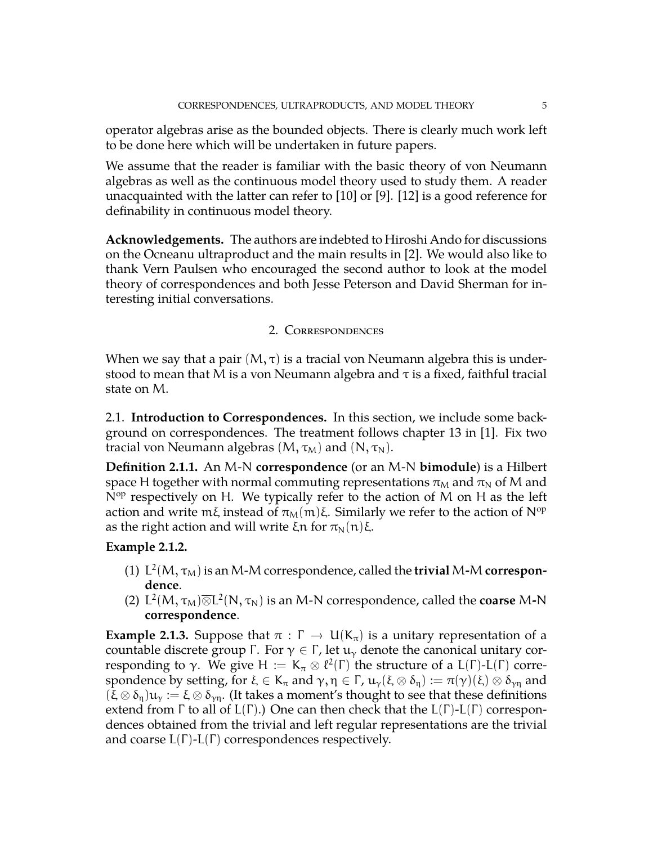operator algebras arise as the bounded objects. There is clearly much work left to be done here which will be undertaken in future papers.

We assume that the reader is familiar with the basic theory of von Neumann algebras as well as the continuous model theory used to study them. A reader unacquainted with the latter can refer to [\[10\]](#page-34-0) or [\[9\]](#page-34-10). [\[12\]](#page-34-6) is a good reference for definability in continuous model theory.

<span id="page-4-2"></span>**Acknowledgements.** The authors are indebted to Hiroshi Ando for discussions on the Ocneanu ultraproduct and the main results in [\[2\]](#page-34-8). We would also like to thank Vern Paulsen who encouraged the second author to look at the model theory of correspondences and both Jesse Peterson and David Sherman for interesting initial conversations.

# 2. Correspondences

<span id="page-4-0"></span>When we say that a pair  $(M, \tau)$  is a tracial von Neumann algebra this is understood to mean that M is a von Neumann algebra and  $\tau$  is a fixed, faithful tracial state on M.

<span id="page-4-1"></span>2.1. **Introduction to Correspondences.** In this section, we include some background on correspondences. The treatment follows chapter 13 in [\[1\]](#page-34-11). Fix two tracial von Neumann algebras  $(M, \tau_M)$  and  $(N, \tau_N)$ .

**Definition 2.1.1.** An M-N **correspondence** (or an M-N **bimodule**) is a Hilbert space H together with normal commuting representations  $\pi_M$  and  $\pi_N$  of M and  $N^{op}$  respectively on H. We typically refer to the action of M on H as the left action and write mξ instead of  $\pi_M(m)\xi$ . Similarly we refer to the action of N<sup>op</sup> as the right action and will write ξn for  $\pi_N(n)$ ξ.

# **Example 2.1.2.**

- (1)  $L^2(M, \tau_M)$  is an M-M correspondence, called the **trivial** M-M **correspondence**.
- (2)  $L^2(M, \tau_M) \overline{\otimes} L^2(N, \tau_N)$  is an M-N correspondence, called the **coarse** M-N **correspondence**.

**Example 2.1.3.** Suppose that  $\pi : \Gamma \to U(K_{\pi})$  is a unitary representation of a countable discrete group Γ. For  $\gamma \in \Gamma$ , let  $\mathfrak{u}_{\gamma}$  denote the canonical unitary corresponding to γ. We give  $H := K_{\pi} \otimes \ell^2(\Gamma)$  the structure of a L(Γ)-L(Γ) correspondence by setting, for  $\xi \in K_\pi$  and  $\gamma, \eta \in \Gamma$ ,  $u_\gamma(\xi \otimes \delta_\eta) := \pi(\gamma)(\xi) \otimes \delta_{\gamma\eta}$  and  $(\xi \otimes \delta_{\eta})\mathfrak{u}_{\gamma} := \xi \otimes \delta_{\gamma\eta}$ . (It takes a moment's thought to see that these definitions extend from  $\Gamma$  to all of  $L(\Gamma)$ .) One can then check that the  $L(\Gamma)$ - $L(\Gamma)$  correspondences obtained from the trivial and left regular representations are the trivial and coarse  $L(\Gamma)$ - $L(\Gamma)$  correspondences respectively.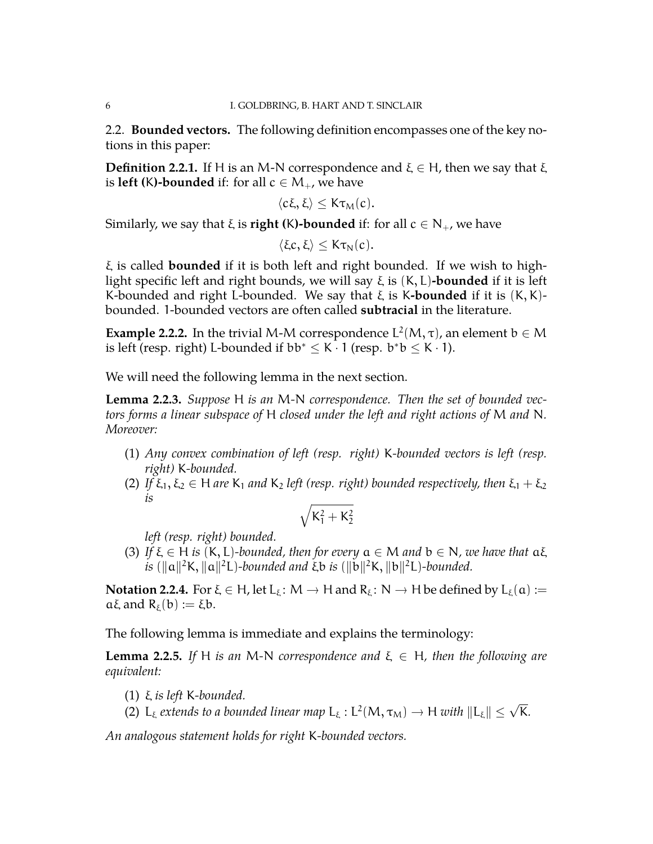<span id="page-5-0"></span>2.2. **Bounded vectors.** The following definition encompasses one of the key notions in this paper:

**Definition 2.2.1.** If H is an M-N correspondence and  $\xi \in H$ , then we say that  $\xi$ is **left (K)-bounded** if: for all  $c \in M_+$ , we have

$$
\langle c\xi,\xi\rangle\leq K\tau_M(c).
$$

Similarly, we say that  $\xi$  is **right (K)-bounded** if: for all  $c \in N_+$ , we have

$$
\langle \xi c, \xi \rangle \leq K \tau_N(c).
$$

ξ is called **bounded** if it is both left and right bounded. If we wish to highlight specific left and right bounds, we will say ξ is (K, L)**-bounded** if it is left K-bounded and right L-bounded. We say that ξ is K**-bounded** if it is (K, K) bounded. 1-bounded vectors are often called **subtracial** in the literature.

<span id="page-5-2"></span>**Example 2.2.2.** In the trivial M-M correspondence  $L^2(M, \tau)$ , an element  $b \in M$ is left (resp. right) L-bounded if  $bb^* \leq K \cdot 1$  (resp.  $b^*b \leq K \cdot 1$ ).

We will need the following lemma in the next section.

<span id="page-5-1"></span>**Lemma 2.2.3.** *Suppose* H *is an* M*-*N *correspondence. Then the set of bounded vectors forms a linear subspace of* H *closed under the left and right actions of* M *and* N*. Moreover:*

- (1) *Any convex combination of left (resp. right)* K*-bounded vectors is left (resp. right)* K*-bounded.*
- (2) *If*  $\xi_1, \xi_2 \in H$  *are*  $K_1$  *and*  $K_2$  *left* (resp. right) bounded respectively, then  $\xi_1 + \xi_2$ *is*

$$
\sqrt{K_1^2+K_2^2}
$$

*left (resp. right) bounded.*

(3) If  $\xi \in H$  *is*  $(K, L)$ -bounded, then for every  $a \in M$  *and*  $b \in N$ , we have that  $a\xi$  $\hat{z}$  ( $\|\alpha\|^2$ K,  $\|\alpha\|^2$ L)*-bounded and*  $\xi$ b *is* ( $\|\mathbf{b}\|^2$ K,  $\|\mathbf{b}\|^2$ L)*-bounded.* 

**Notation 2.2.4.** For  $\xi \in H$ , let  $L_{\xi}$ :  $M \to H$  and  $R_{\xi}$ :  $N \to H$  be defined by  $L_{\xi}(\mathfrak{a}) :=$ aξ and R<sub>ξ</sub>(b) := ξb.

The following lemma is immediate and explains the terminology:

**Lemma 2.2.5.** *If* H *is an* M-N *correspondence and*  $\xi \in H$ *, then the following are equivalent:*

- (1) ξ *is left* K*-bounded.*
- (2) L<sub>*k</sub>* extends to a bounded linear map L<sub>*k*</sub> : L<sup>2</sup></sub>  $(M, \tau_M) \to H$  *with*  $||L_{\xi}|| \leq \sqrt{K}$ .

*An analogous statement holds for right* K*-bounded vectors.*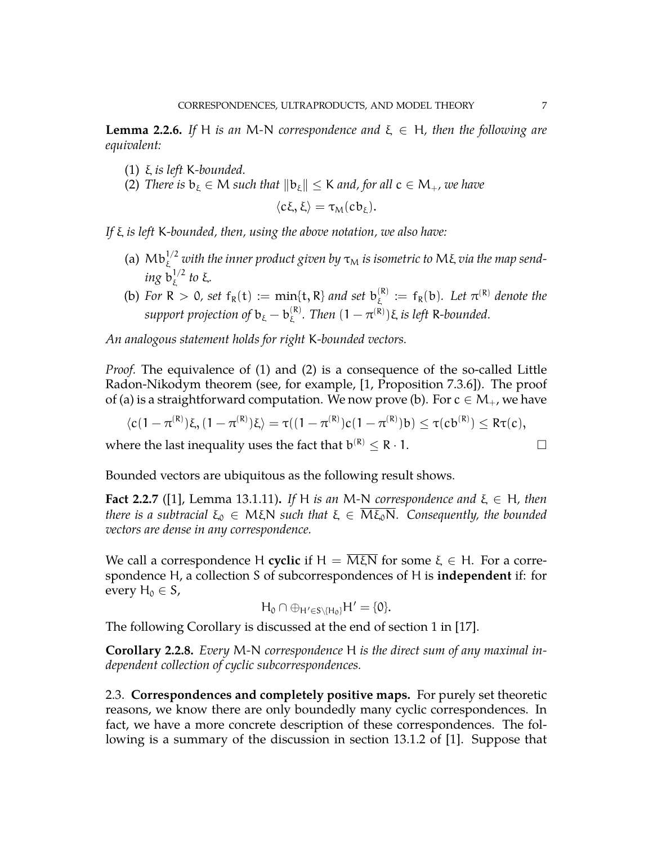<span id="page-6-1"></span>**Lemma 2.2.6.** *If* H *is an* M-N *correspondence and*  $\xi \in H$ *, then the following are equivalent:*

- (1) ξ *is left* K*-bounded.*
- (2) *There is*  $b_{\xi} \in M$  *such that*  $||b_{\xi}|| \le K$  *and, for all*  $c \in M_+$ *, we have*

$$
\langle c\xi,\xi\rangle=\tau_M (cb_\xi).
$$

*If* ξ *is left* K*-bounded, then, using the above notation, we also have:*

- (a)  $\rm {Mb}_{\xi}^{1/2}$  with the inner product given by  $\tau_{\rm M}$  is isometric to  $\rm {M}\xi$  via the map send $ing$   $\mathrm{b}^{1/2}_\varepsilon$ ξ *to* ξ*.*
- (b) For  $R > 0$ , set  $f_R(t) := min\{t, R\}$  and set  $b_{\xi}^{(R)}$  $\mathcal{L}_{\xi}^{(R)} := f_R(b)$ . Let  $\pi^{(R)}$  denote the support projection of  $\mathrm{b}_{\mathrm{\acute{e}t}}-\mathrm{b}_{\mathrm{\acute{e}t}}^{(\mathrm{R})}$  $\mathcal{L}_{\xi}^{(\mathsf{R})}$ . Then  $(1 - \pi^{(\mathsf{R})})\xi$  is left R-bounded.

*An analogous statement holds for right* K*-bounded vectors.*

*Proof.* The equivalence of (1) and (2) is a consequence of the so-called Little Radon-Nikodym theorem (see, for example, [\[1,](#page-34-11) Proposition 7.3.6]). The proof of (a) is a straightforward computation. We now prove (b). For  $c \in M_+$ , we have

$$
\langle c(1-\pi^{(R)})\xi, (1-\pi^{(R)})\xi \rangle = \tau((1-\pi^{(R)})c(1-\pi^{(R)})b) \leq \tau(cb^{(R)}) \leq R\tau(c),
$$

where the last inequality uses the fact that  $b^{(R)} \le R \cdot 1$ .

Bounded vectors are ubiquitous as the following result shows.

**Fact 2.2.7** ([\[1\]](#page-34-11), Lemma 13.1.11). If H is an M-N correspondence and  $\xi \in H$ , then *there is a subtracial*  $\xi_0 \in M\xi N$  *such that*  $\xi \in \overline{M\xi_0 N}$ *. Consequently, the bounded vectors are dense in any correspondence.*

We call a correspondence H **cyclic** if  $H = M\xi N$  for some  $\xi \in H$ . For a correspondence H, a collection S of subcorrespondences of H is **independent** if: for every  $H_0 \in S$ ,

$$
H_0\cap \oplus_{H'\in S\setminus\{H_0\}}H'=\{0\}.
$$

The following Corollary is discussed at the end of section 1 in [\[17\]](#page-34-4).

**Corollary 2.2.8.** *Every* M*-*N *correspondence* H *is the direct sum of any maximal independent collection of cyclic subcorrespondences.*

<span id="page-6-0"></span>2.3. **Correspondences and completely positive maps.** For purely set theoretic reasons, we know there are only boundedly many cyclic correspondences. In fact, we have a more concrete description of these correspondences. The following is a summary of the discussion in section 13.1.2 of [\[1\]](#page-34-11). Suppose that

$$
\qquad \qquad \Box
$$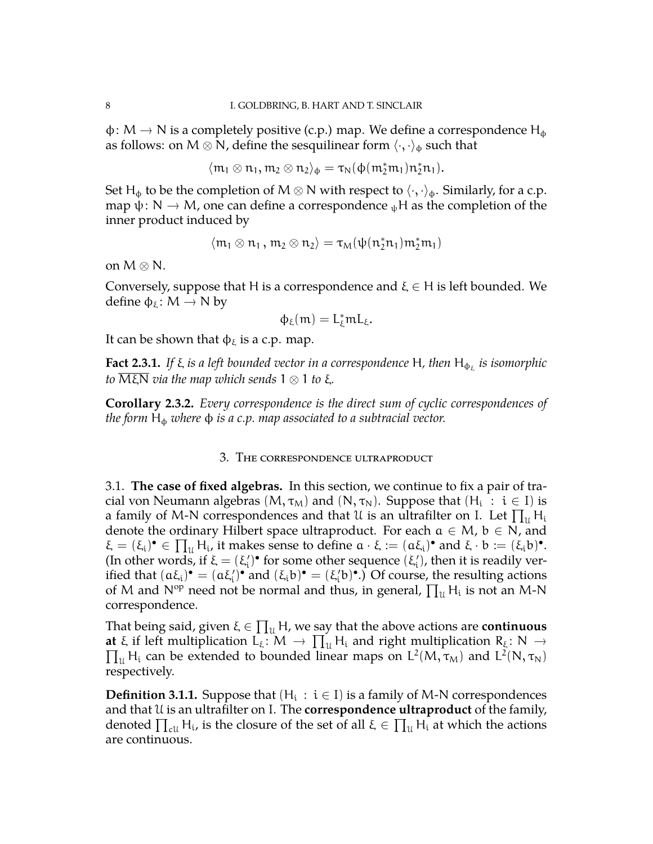$\phi \colon M \to N$  is a completely positive (c.p.) map. We define a correspondence  $H_{\phi}$ as follows: on M  $\otimes$  N, define the sesquilinear form  $\langle \cdot, \cdot \rangle_{\phi}$  such that

$$
\langle \mathfrak{m}_1\otimes\mathfrak{n}_1,\mathfrak{m}_2\otimes\mathfrak{n}_2\rangle_\varphi=\tau_N(\varphi(\mathfrak{m}_2^*\mathfrak{m}_1)\mathfrak{n}_2^*\mathfrak{n}_1).
$$

Set H<sub>φ</sub> to be the completion of M  $\otimes$  N with respect to  $\langle \cdot, \cdot \rangle_{\phi}$ . Similarly, for a c.p. map  $\psi: N \to M$ , one can define a correspondence  $_{\psi}$ H as the completion of the inner product induced by

$$
\langle \mathfrak{m}_1 \otimes \mathfrak{n}_1 \, , \, \mathfrak{m}_2 \otimes \mathfrak{n}_2 \rangle = \tau_M(\psi(\mathfrak{n}_2^*\mathfrak{n}_1)\mathfrak{m}_2^*\mathfrak{m}_1)
$$

on  $M \otimes N$ .

Conversely, suppose that H is a correspondence and  $\xi \in H$  is left bounded. We define  $\varphi_{\xi}$ : M  $\rightarrow$  N by

$$
\varphi_\xi(m)=L_\xi^*mL_\xi.
$$

It can be shown that  $\phi_{\xi}$  is a c.p. map.

**Fact 2.3.1.** If ξ is a left bounded vector in a correspondence H, then  $H_{\varphi_{\xi}}$  is isomorphic *to* MξN *via the map which sends* 1 ⊗ 1 *to* ξ*.*

<span id="page-7-2"></span>**Corollary 2.3.2.** *Every correspondence is the direct sum of cyclic correspondences of the form* H<sub>φ</sub> *where*  $\phi$  *is a c.p. map associated to a subtracial vector.* 

### 3. The correspondence ultraproduct

<span id="page-7-1"></span><span id="page-7-0"></span>3.1. **The case of fixed algebras.** In this section, we continue to fix a pair of tracial von Neumann algebras  $(M, \tau_M)$  and  $(N, \tau_N)$ . Suppose that  $(H_i : i \in I)$  is a family of M-N correspondences and that U is an ultrafilter on I. Let  $\prod_u H_i$ denote the ordinary Hilbert space ultraproduct. For each  $a \in M$ ,  $b \in N$ , and  $\xi = (\xi_i)^{\bullet} \in \prod_u H_i$ , it makes sense to define  $\alpha \cdot \xi := (\alpha \xi_i)^{\bullet}$  and  $\xi \cdot b := (\xi_i b)^{\bullet}$ . (In other words, if  $\xi = (\xi_i')^{\bullet}$  for some other sequence  $(\xi_i')$ , then it is readily verified that  $(a\xi_i)^\bullet = (a\xi_i')^\bullet$  and  $(\xi_i b)^\bullet = (\xi_i' b)^\bullet$ .) Of course, the resulting actions of M and N<sup>op</sup> need not be normal and thus, in general,  $\prod_u H_i$  is not an M-N correspondence.

That being said, given  $\xi \in \prod_u H$ , we say that the above actions are **continuous at**  $\xi$  if left multiplication  $L_{\xi}$ :  $M \to \prod_{u} H_{i}$  and right multiplication  $R_{\xi}$ :  $N \to \prod_{u} U_{\xi}(M - \xi)$  $\prod_u H_i$  can be extended to bounded linear maps on  $L^2(M, \tau_M)$  and  $L^2(N, \tau_N)$ respectively.

**Definition 3.1.1.** Suppose that  $(H_i : i \in I)$  is a family of M-N correspondences and that U is an ultrafilter on I. The **correspondence ultraproduct** of the family, denoted  $\prod_{\text{cl}} H_i$ , is the closure of the set of all  $\xi \in \prod_u H_i$  at which the actions are continuous.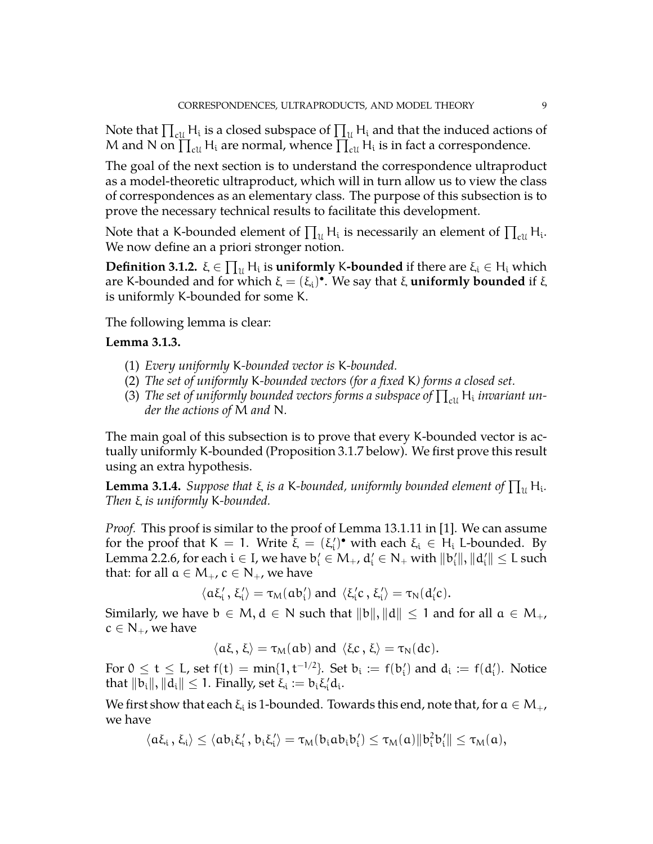Note that  $\prod_{\text{ell}}\mathsf{H}_{\text{i}}$  is a closed subspace of  $\prod_{\mathcal{U}}\mathsf{H}_{\text{i}}$  and that the induced actions of M and N on  $\prod_{\text{cut}} H_i$  are normal, whence  $\prod_{\text{cut}}^{\infty} H_i$  is in fact a correspondence.

The goal of the next section is to understand the correspondence ultraproduct as a model-theoretic ultraproduct, which will in turn allow us to view the class of correspondences as an elementary class. The purpose of this subsection is to prove the necessary technical results to facilitate this development.

Note that a K-bounded element of  $\prod_u H_i$  is necessarily an element of  $\prod_{\text{ell}} H_i$ . We now define an a priori stronger notion.

 $\bf{Definition 3.1.2.}$  ξ  $\in \prod_{\mathfrak{U}} H_{\mathfrak{i}}$  is  $\bf{uniformly}$  K- $\bf{bounded}$  if there are ξ<sub>i</sub>  $\in H_{\mathfrak{i}}$  which are K-bounded and for which  $ξ = (ξ_i)$ <sup>.</sup> We say that ξ **uniformly bounded** if ξ is uniformly K-bounded for some K.

The following lemma is clear:

### **Lemma 3.1.3.**

- (1) *Every uniformly* K*-bounded vector is* K*-bounded.*
- (2) *The set of uniformly* K*-bounded vectors (for a fixed* K*) forms a closed set.*
- (3) The set of uniformly bounded vectors forms a subspace of  $\prod_{\text{cl}} \mathsf{H}_{\text{i}}$  invariant un*der the actions of* M *and* N*.*

The main goal of this subsection is to prove that every K-bounded vector is actually uniformly K-bounded (Proposition [3.1.7](#page-11-0) below). We first prove this result using an extra hypothesis.

<span id="page-8-0"></span>**Lemma 3.1.4.** *Suppose that*  $\xi$  *is a* K-bounded, uniformly bounded element of  $\prod_{\mathfrak{U}}\mathsf{H}_{\mathfrak{i}}$ . *Then* ξ *is uniformly* K*-bounded.*

*Proof.* This proof is similar to the proof of Lemma 13.1.11 in [\[1\]](#page-34-11). We can assume for the proof that  $K = 1$ . Write  $\bar{\xi} = (\xi_i')^{\bullet}$  with each  $\xi_i \in H_i$  L-bounded. By Lemma [2.2.6,](#page-6-1) for each  $i\in I$ , we have  $b_i'\in M_+$ ,  $d_i'\in N_+$  with  $\|b_i'\|, \|d_i'\|\leq L$  such that: for all  $\mathfrak{a}\in \mathsf{M}_+$  ,  $\mathfrak{c}\in \mathsf{N}_+$  , we have

 $\langle a\xi_i', \xi_i' \rangle = \tau_M(ab_i')$  and  $\langle \xi_i'c, \xi_i' \rangle = \tau_N(d_i'c)$ .

Similarly, we have  $b \in M$ ,  $d \in N$  such that  $||b||$ ,  $||d|| \leq 1$  and for all  $a \in M_{+}$ ,  $c \in N_+$ , we have

$$
\langle a\xi, \xi \rangle = \tau_M(ab)
$$
 and  $\langle \xi c, \xi \rangle = \tau_N(dc)$ .

For  $0 \leq t \leq L$ , set  $f(t) = min\{1, t^{-1/2}\}$ . Set  $b_i := f(b'_i)$  and  $d_i := f(d'_i)$ . Notice that  $||b_i||, ||d_i|| \leq 1$ . Finally, set  $\xi_i := b_i \xi'_i d_i$ .

We first show that each  $\xi_i$  is 1-bounded. Towards this end, note that, for  $\mathfrak{a}\in \mathsf{M}_+$ , we have

$$
\langle a\xi_i\,,\,\xi_i\rangle\leq \langle ab_i\xi_i'\,,\,b_i\xi_i'\rangle=\tau_M(b_iab_ib_i')\leq \tau_M(a)\|b_i^2b_i'\|\leq \tau_M(a),
$$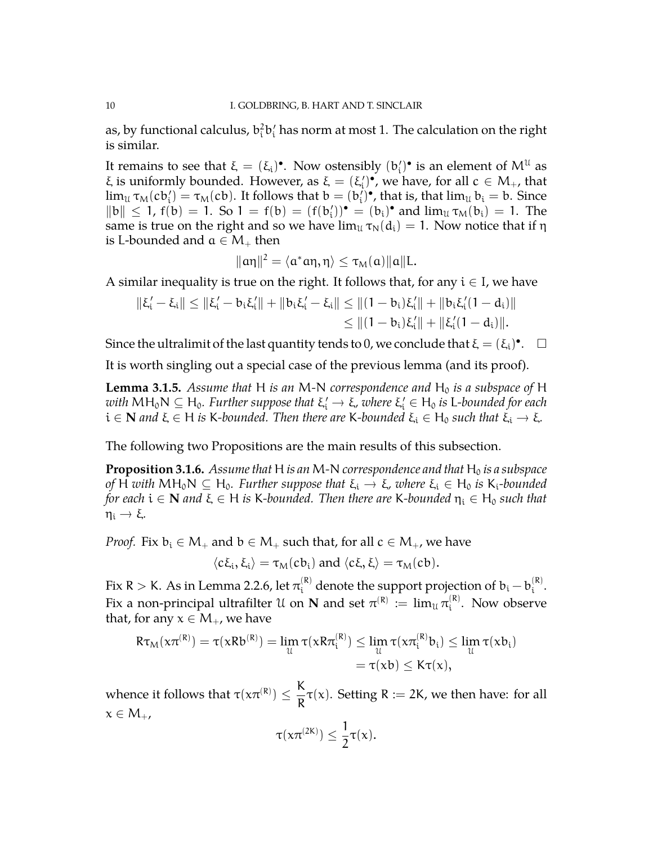as, by functional calculus,  $\mathrm{b_{i}^{2}b_{i}^{\prime}}$  has norm at most 1. The calculation on the right is similar.

It remains to see that  $\xi = (\xi_i)^{\bullet}$ . Now ostensibly  $(b'_i)^{\bullet}$  is an element of  $M^{\mathfrak{U}}$  as ξ is uniformly bounded. However, as  $\xi = (\xi_i')^{\bullet}$ , we have, for all  $c \in M_+$ , that  $\lim_{\mathcal{U}} \tau_M(c b_i') = \tau_M(c b)$ . It follows that  $b = (b_i')^{\bullet}$ , that is, that  $\lim_{\mathcal{U}} b_i = b$ . Since  $||b|| \le 1$ ,  $f(b) = 1$ . So  $1 = f(b) = (f(b'_i))^{\bullet} = (b_i)^{\bullet}$  and  $\lim_{\mathcal{U}} \tau_M(b_i) = 1$ . The same is true on the right and so we have  $\lim_{\mathcal{U}} \tau_N(d_i) = 1$ . Now notice that if  $\eta$ is L-bounded and  $a \in M_+$  then

$$
\| \alpha \eta \|^2 = \langle \alpha^* \alpha \eta, \eta \rangle \leq \tau_M(\alpha) \| \alpha \| L.
$$

A similar inequality is true on the right. It follows that, for any  $i \in I$ , we have

$$
\begin{aligned} \|\xi_i'-\xi_i\| &\leq \|\xi_i'-b_i\xi_i'\| + \|b_i\xi_i'-\xi_i\| \leq \|(1-b_i)\xi_i'\| + \|b_i\xi_i'(1-d_i)\| \\ &\leq \|(1-b_i)\xi_i'\| + \|\xi_i'(1-d_i)\|. \end{aligned}
$$

Since the ultralimit of the last quantity tends to 0, we conclude that  $\zeta = (\xi_i)^{\bullet}$ .  $\Box$ 

It is worth singling out a special case of the previous lemma (and its proof).

<span id="page-9-0"></span>**Lemma 3.1.5.** Assume that H is an M-N correspondence and  $H_0$  is a subspace of H *with* MH<sub>0</sub>N ⊆ H<sub>0</sub>. Further suppose that ξ'<sub>ι</sub>' → ξ, where ξ'<sub>ι</sub> ∈ H<sub>0</sub> is L-bounded for each <br>i ∈ N *sud ζ* ⊆ U is *V* haveded. They there sue *V* haveded ζ ⊆ U such that ζ ν ζ  $i \in \mathbb{N}$  *and*  $\xi \in H$  *is* K-bounded. Then there are K-bounded  $\xi_i \in H_0$  such that  $\xi_i \to \xi$ .

The following two Propositions are the main results of this subsection.

<span id="page-9-1"></span>**Proposition 3.1.6.** *Assume that* H *is an* M-N *correspondence and that* H<sub>0</sub> *is a subspace of* H with  $MH_0N \subseteq H_0$ . Further suppose that  $\xi_i \to \xi$ , where  $\xi_i \in H_0$  is  $K_i$ -bounded *for each*  $i \in \mathbb{N}$  *and*  $\xi \in H$  *is* K-bounded. Then there are K-bounded  $\eta_i \in H_0$  such that  $\eta_i \rightarrow \xi$ .

*Proof.* Fix  $b_i \in M_+$  and  $b \in M_+$  such that, for all  $c \in M_+$ , we have

$$
\langle c\xi_i,\xi_i\rangle=\tau_M(cb_i) \text{ and } \langle c\xi,\xi\rangle=\tau_M(cb).
$$

Fix R  $>$  K. As in Lemma [2.2.6,](#page-6-1) let  $\pi_i^{(\mathsf{R})}$  denote the support projection of  $\mathrm{b_i}-\mathrm{b_i^{(\mathsf{R})}}$ i . Fix a non-principal ultrafilter  $\mathfrak U$  on  ${\bf N}$  and set  $\pi^{(\mathsf{R})} \,:=\, \lim_{\mathfrak U} \pi^{(\mathsf{R})}_{\mathfrak l}$  $i^{(k)}$ . Now observe that, for any  $x \in M_+$ , we have

$$
R\tau_M(x\pi^{(R)}) = \tau(xRb^{(R)}) = \lim_{\mathcal{U}} \tau(xR\pi_i^{(R)}) \leq \lim_{\mathcal{U}} \tau(x\pi_i^{(R)}b_i) \leq \lim_{\mathcal{U}} \tau(xb_i)
$$
  
=  $\tau(xb) \leq K\tau(x),$ 

whence it follows that  $\tau(x\pi^{(R)}) \leq \frac{K}{R}$  $\frac{R}{R} \tau(x)$ . Setting R := 2K, we then have: for all  $x \in M_{+}$ ,

$$
\tau(\mathrm{d} \pi^{(\mathrm{2K})}) \leq \frac{1}{2} \tau(\mathrm{x}).
$$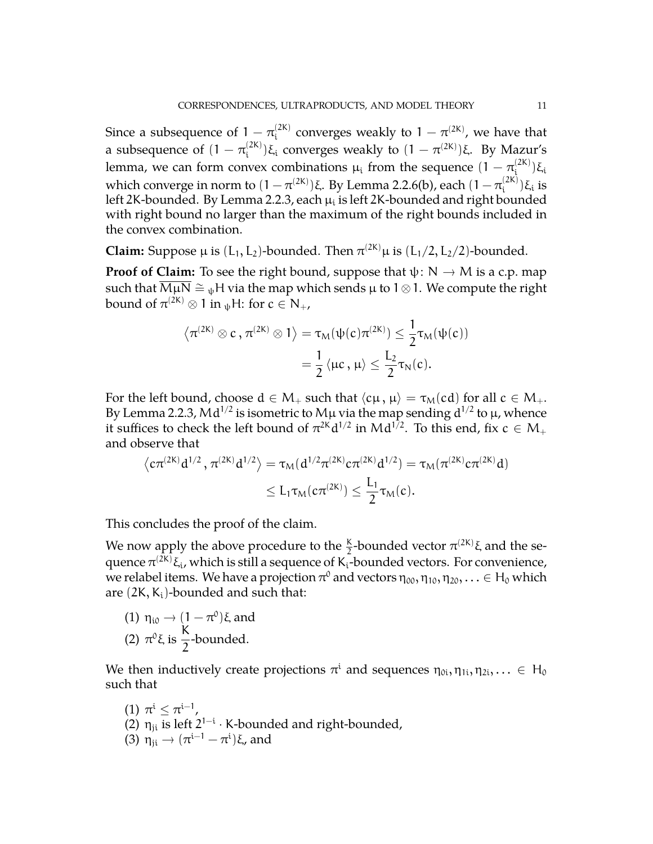Since a subsequence of  $1 - \pi_i^{(2K)}$  $\int_{i}^{(2K)}$  converges weakly to  $1 - \pi^{(2K)}$ , we have that a subsequence of (1  $\pi_{\rm i}^{\rm (2K)}$ <sup>(2K)</sup>)ξ<sub>i</sub> converges weakly to  $(1 - \pi^{(2K)})$ ξ. By Mazur's lemma, we can form convex combinations  $\mu_i$  from the sequence  $(1-\pi_i^{(2K)})$  $\binom{[2\mathsf{N}]}{\mathsf{i}}$ ζi which converge in norm to  $(1-\pi^{(2{\sf K})})$ ξ. By Lemma [2.2.6\(](#page-6-1)b), each  $(1-\pi^{(2{\sf K})}_{{\sf i}})$  $\binom{2\mathsf{N}}{\mathsf{i}}$  is left 2K-bounded. By Lemma [2.2.3,](#page-5-1) each  $\mu_{\rm i}$  is left 2K-bounded and right bounded with right bound no larger than the maximum of the right bounds included in the convex combination.

**Claim:** Suppose  $\mu$  is  $(L_1, L_2)$ -bounded. Then  $\pi^{(2K)}\mu$  is  $(L_1/2, L_2/2)$ -bounded.

**Proof of Claim:** To see the right bound, suppose that  $\psi: N \to M$  is a c.p. map such that  $\overline{M\mu N} \cong \psi H$  via the map which sends  $\mu$  to 1⊗1. We compute the right bound of  $\pi^{(2\mathsf{K})}\otimes 1$  in  $_\psi\mathsf{H}\!\!$ : for  $\mathsf{c}\in\mathsf{N}_+$ ,

$$
\langle \pi^{(2K)} \otimes c \, , \pi^{(2K)} \otimes 1 \rangle = \tau_M(\psi(c) \pi^{(2K)}) \leq \frac{1}{2} \tau_M(\psi(c))
$$

$$
= \frac{1}{2} \langle \mu c \, , \, \mu \rangle \leq \frac{L_2}{2} \tau_N(c).
$$

For the left bound, choose  $d \in M_+$  such that  $\langle c\mu, \mu \rangle = \tau_M(cd)$  for all  $c \in M_+$ . By Lemma [2.2.3,](#page-5-1) M $d^{1/2}$  is isometric to M $\mu$  via the map sending  $d^{1/2}$  to  $\mu$ , whence it suffices to check the left bound of  $\pi^{2K}d^{1/2}$  in M $d^{1/2}$ . To this end, fix  $c\in\mathsf{M}_+$ and observe that

$$
\begin{aligned} \left\langle c\pi^{(2K)}d^{1/2}\,,\,\pi^{(2K)}d^{1/2}\right\rangle&=\tau_M(d^{1/2}\pi^{(2K)}c\pi^{(2K)}d^{1/2})=\tau_M(\pi^{(2K)}c\pi^{(2K)}d)\\ &\leq L_1\tau_M(c\pi^{(2K)})\leq \frac{L_1}{2}\tau_M(c). \end{aligned}
$$

This concludes the proof of the claim.

We now apply the above procedure to the  $\frac{K}{2}$ -bounded vector  $\pi^{(2K)}$ ξ and the sequence  $\pi^{(2\mathsf{K})}$ ξ,, which is still a sequence of K<sub>i</sub>-bounded vectors. For convenience, we relabel items. We have a projection  $\pi^0$  and vectors  $\eta_{00},\eta_{10},\eta_{20},\ldots\in{\sf H}_0$  which are  $(2K, K_i)$ -bounded and such that:

(1) 
$$
\eta_{i0} \rightarrow (1 - \pi^0)\xi
$$
 and  
(2)  $\pi^0 \xi$  is  $\frac{K}{2}$ -bounded.

We then inductively create projections  $\pi^i$  and sequences  $\eta_{0i}, \eta_{1i}, \eta_{2i}, ... \in H_0$ such that

(1)  $\pi^i \leq \pi^{i-1}$ , (2)  $\eta_{ji}$  is left  $2^{1-i} \cdot K$ -bounded and right-bounded, (3)  $η_{ji}$  →  $(π^{i-1} – π^i)$ ξ, and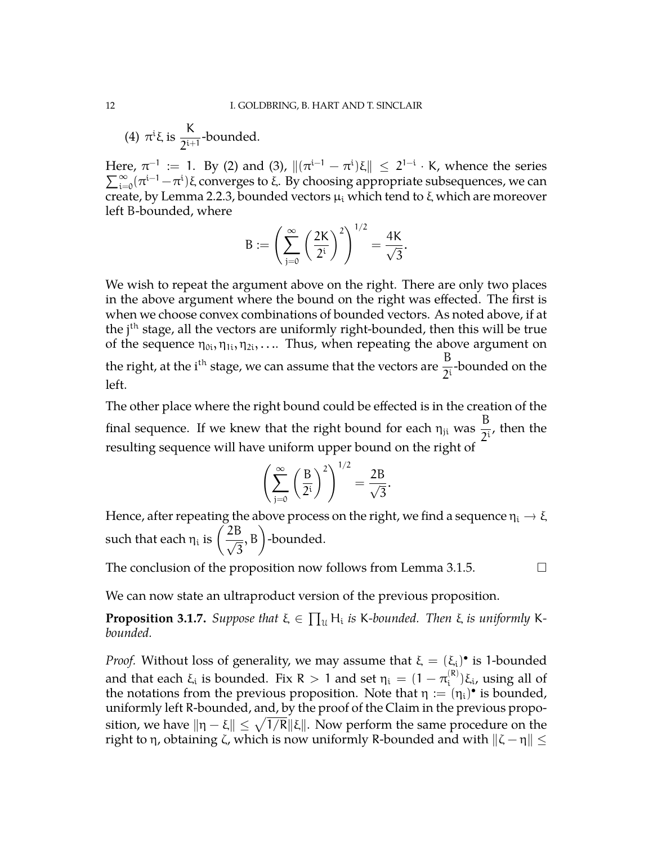(4)  $\pi^i \xi$  is  $\frac{K}{2i\pi^i}$  $\frac{1}{2^{i+1}}$ -bounded.

Here,  $\pi^{-1}$  := 1. By (2) and (3),  $\|(\pi^{i-1} - \pi^{i})\xi\| \leq 2^{1-i}$ Here,  $\pi^{-1} := 1$ . By (2) and (3),  $\|(\pi^{i-1} - \pi^{i})\xi\| \leq 2^{1-i} \cdot K$ , whence the series  $\sum_{i=0}^{\infty} (\pi^{i-1} - \pi^{i})\xi$  converges to  $\xi$ . By choosing appropriate subsequences, we can create, by Lemma [2.2.3,](#page-5-1) bounded vectors  $\mu_i$  which tend to  $\xi$  which are moreover left B-bounded, where

$$
B:=\left(\sum_{j=0}^{\infty}\left(\frac{2K}{2^i}\right)^2\right)^{1/2}=\frac{4K}{\sqrt{3}}.
$$

We wish to repeat the argument above on the right. There are only two places in the above argument where the bound on the right was effected. The first is when we choose convex combinations of bounded vectors. As noted above, if at the j<sup>th</sup> stage, all the vectors are uniformly right-bounded, then this will be true of the sequence  $\eta_{0i}, \eta_{1i}, \eta_{2i}, \ldots$  Thus, when repeating the above argument on the right, at the i<sup>th</sup> stage, we can assume that the vectors are  $\frac{\text{B}}{2^{\text{i}}}$ -bounded on the left.

The other place where the right bound could be effected is in the creation of the final sequence. If we knew that the right bound for each  $\eta_{ji}$  was B  $\frac{1}{2^i}$ , then the resulting sequence will have uniform upper bound on the right of

$$
\left(\sum_{j=0}^{\infty} \left(\frac{B}{2^i}\right)^2\right)^{1/2} = \frac{2B}{\sqrt{3}}.
$$

Hence, after repeating the above process on the right, we find a sequence  $\eta_i \to \xi$ such that each  $\eta_i$  is  $\left(\frac{2B}{\sqrt{2}}\right)$ 3 , B -bounded.

The conclusion of the proposition now follows from Lemma [3.1.5.](#page-9-0)  $\Box$ 

We can now state an ultraproduct version of the previous proposition.

<span id="page-11-0"></span>**Proposition 3.1.7.** Suppose that  $\xi \in \prod_u H_i$  is K-bounded. Then  $\xi$  is uniformly K*bounded.*

*Proof.* Without loss of generality, we may assume that  $\xi = (\xi_i)^{\bullet}$  is 1-bounded and that each  $\xi_i$  is bounded. Fix R  $>$  1 and set  $\eta_i = (1-\pi_i^{(\text{R})})$ <sup>(K)</sup>) $\xi$ <sub>i</sub>, using all of the notations from the previous proposition. Note that  $\eta := (\eta_i)^{\bullet}$  is bounded, uniformly left R-bounded, and, by the proof of the Claim in the previous proposition, we have  $\| \eta - \xi \| \leq \sqrt{1/R} \| \xi \|$ . Now perform the same procedure on the right to η, obtaining ζ, which is now uniformly R-bounded and with  $\|\zeta - \eta\|$   $\leq$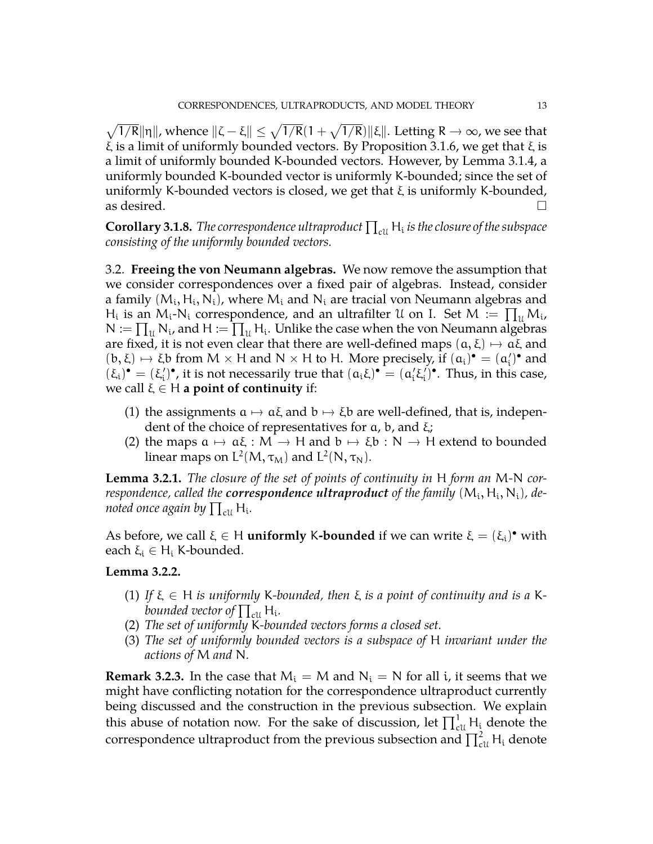$\sqrt{1/R} ||\eta||$ , whence  $\|\zeta - \xi\| \le \sqrt{1/R}(1 + \sqrt{1/R}) ||\xi||$ . Letting  $R \to \infty$ , we see that ξ is a limit of uniformly bounded vectors. By Proposition [3.1.6,](#page-9-1) we get that ξ is a limit of uniformly bounded K-bounded vectors. However, by Lemma [3.1.4,](#page-8-0) a uniformly bounded K-bounded vector is uniformly K-bounded; since the set of uniformly K-bounded vectors is closed, we get that  $\xi$  is uniformly K-bounded, as desired.  $\Box$ 

<span id="page-12-1"></span>**Corollary 3.1.8.** The correspondence ultraproduct  $\prod_{\text{cl}} H_i$  is the closure of the subspace *consisting of the uniformly bounded vectors.*

<span id="page-12-0"></span>3.2. **Freeing the von Neumann algebras.** We now remove the assumption that we consider correspondences over a fixed pair of algebras. Instead, consider a family  $(M_i, H_i, N_i)$ , where  $M_i$  and  $N_i$  are tracial von Neumann algebras and H<sub>i</sub> is an M<sub>i</sub>-N<sub>i</sub> correspondence, and an ultrafilter U on I. Set M :=  $\prod_{\mathfrak{U}} M_{\mathfrak{U}}$  $N := \prod_u N_i$ , and  $H := \prod_u H_i$ . Unlike the case when the von Neumann algebras are fixed, it is not even clear that there are well-defined maps  $(a, \xi) \mapsto a\xi$  and  $(b, \xi) \mapsto \xi b$  from  $M \times H$  and  $N \times H$  to H. More precisely, if  $(a_i)^\bullet = (a'_i)^\bullet$  and  $(\xi)^\bullet$ .  $(\xi')^\bullet$  $(\xi_i)^\bullet = (\xi_i')^\bullet$ , it is not necessarily true that  $(a_i\xi)^\bullet = (a_i'\xi_i')^\bullet$ . Thus, in this case, we call  $\xi \in H$  **a point of continuity** if:

- (1) the assignments  $a \mapsto a\xi$  and  $b \mapsto \xi b$  are well-defined, that is, independent of the choice of representatives for  $a$ ,  $b$ , and  $\xi$ ;
- (2) the maps  $a \mapsto a\xi : M \to H$  and  $b \mapsto \xi b : N \to H$  extend to bounded linear maps on  $\mathsf{L}^2(M,\tau_M)$  and  $\mathsf{L}^2(N,\tau_N)$ .

**Lemma 3.2.1.** *The closure of the set of points of continuity in* H *form an* M*-*N *cor*respondence, called the **correspondence ultraproduct** of the family  $(\mathsf{M_i}, \mathsf{H_i}, \mathsf{N_i})$ , denoted once again by  $\prod_{\rm cll} {\mathsf H}_{\mathfrak i}$ .

As before, we call  $\xi \in H$  **uniformly K-bounded** if we can write  $\xi = (\xi_i)^{\bullet}$  with each  $\xi_i \in H_i$  K-bounded.

### **Lemma 3.2.2.**

- (1) If  $\xi \in H$  *is uniformly* K-bounded, then  $\xi$  *is a point of continuity and is a* Kbounded vector of  $\prod_{\rm cl}$  H<sub>i</sub>.
- (2) *The set of uniformly* K*-bounded vectors forms a closed set.*
- (3) *The set of uniformly bounded vectors is a subspace of* H *invariant under the actions of* M *and* N*.*

**Remark 3.2.3.** In the case that  $M_i = M$  and  $N_i = N$  for all i, it seems that we might have conflicting notation for the correspondence ultraproduct currently being discussed and the construction in the previous subsection. We explain this abuse of notation now. For the sake of discussion, let  $\prod_{\text{cl}}^{1} H_i$  denote the correspondence ultraproduct from the previous subsection and  $\prod_{\text{ell}}^2 \mathsf{H}_{\text{i}}$  denote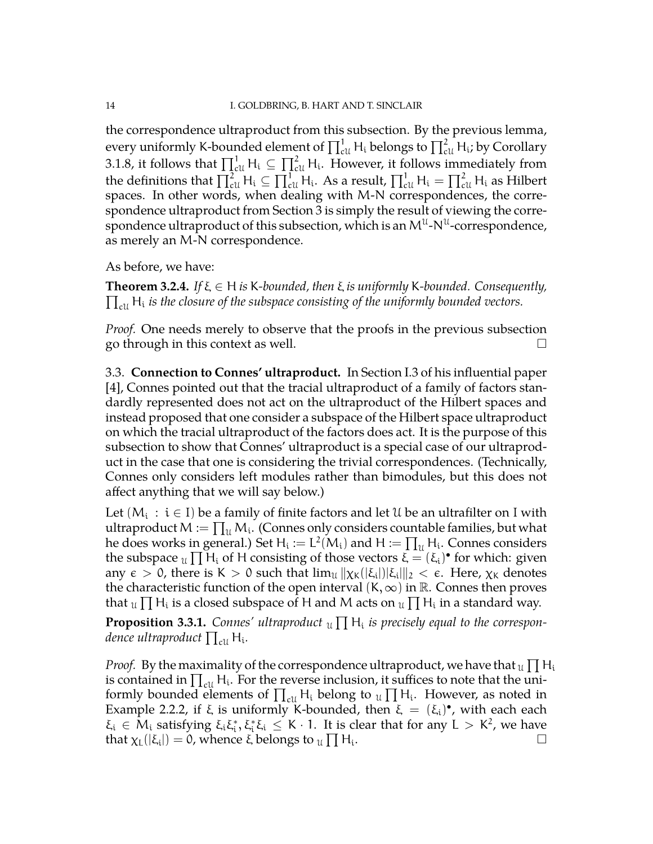the correspondence ultraproduct from this subsection. By the previous lemma, every uniformly K-bounded element of  $\prod_{\mathrm{cl}}^1\mathsf{H}_{\mathrm{i}}$  belongs to  $\prod_{\mathrm{cl}}^2\mathsf{H}_{\mathrm{i}}$ ; by Corollary [3.1.8,](#page-12-1) it follows that  $\prod_{c}^1 H_i \subseteq \prod_{c}^2 H_i$ . However, it follows immediately from the definitions that  $\prod_{c\mathfrak{U}}^2\mathsf{H_i}\subseteq \prod_{c\mathfrak{U}}^1\mathsf{H_i}.$  As a result,  $\prod_{c\mathfrak{U}}^1\mathsf{H_i}=\prod_{c\mathfrak{U}}^2\mathsf{H_i}$  as Hilbert spaces. In other words, when dealing with M-N correspondences, the correspondence ultraproduct from Section [3](#page-7-0) is simply the result of viewing the correspondence ultraproduct of this subsection, which is an  $\mathsf{M}^{\mathfrak{U}}\text{-}\mathsf{N}^{\mathfrak{U}}\text{-}\text{correspondence},$ as merely an M-N correspondence.

As before, we have:

<span id="page-13-1"></span> $\prod_{\text{cl}}$  H<sub>i</sub> is the closure of the subspace consisting of the uniformly bounded vectors. **Theorem 3.2.4.** *If* ξ ∈ H *is* K*-bounded, then* ξ *is uniformly* K*-bounded. Consequently,*

*Proof.* One needs merely to observe that the proofs in the previous subsection go through in this context as well.  $\Box$ 

<span id="page-13-0"></span>3.3. **Connection to Connes' ultraproduct.** In Section I.3 of his influential paper [\[4\]](#page-34-2), Connes pointed out that the tracial ultraproduct of a family of factors standardly represented does not act on the ultraproduct of the Hilbert spaces and instead proposed that one consider a subspace of the Hilbert space ultraproduct on which the tracial ultraproduct of the factors does act. It is the purpose of this subsection to show that Connes' ultraproduct is a special case of our ultraproduct in the case that one is considering the trivial correspondences. (Technically, Connes only considers left modules rather than bimodules, but this does not affect anything that we will say below.)

Let  $(M_i\,:\,i\in I)$  be a family of finite factors and let  $\mathfrak U$  be an ultrafilter on I with ultraproduct  $M:=\prod_{\mathfrak{U}}M_{\mathfrak{U}}.$  (Connes only considers countable families, but what he does works in general.) Set  $H_i := L^2(M_i)$  and  $H := \prod_u H_i$ . Connes considers the subspace  $u \prod H_i$  of H consisting of those vectors  $\bar{\xi} = (\xi_i)$  for which: given any  $\epsilon > 0$ , there is K  $> 0$  such that  $\lim_{\mathcal{U}} \|\chi_{\mathcal{K}}([\xi_i])|\xi_i\|_2 < \epsilon$ . Here,  $\chi_{\mathcal{K}}$  denotes the characteristic function of the open interval  $(K, \infty)$  in  $\mathbb R$ . Connes then proves that  $_{\mathcal{U}}\prod \mathsf{H}_{\mathfrak{i}}$  is a closed subspace of  $\mathsf{H}$  and M acts on  $_{\mathcal{U}}\prod \mathsf{H}_{\mathfrak{i}}$  in a standard way.

**Proposition 3.3.1.** Connes' ultraproduct  $\mathfrak{u} \prod H_i$  is precisely equal to the correspondence ultraproduct  $\prod_{\text{cl}} \mathsf{H}_{\mathfrak{i}}$ .

*Proof.* By the maximality of the correspondence ultraproduct, we have that  $_{\mathfrak{U}}\prod \mathsf{H}_{\mathfrak{U}}$ is contained in  $\prod_{\text{cl}} H_i$ . For the reverse inclusion, it suffices to note that the uniformly bounded elements of  $\prod_{\text{cl}} H_i$  belong to  $\text{tr} \prod H_i$ . However, as noted in Example [2.2.2,](#page-5-2) if  $\xi$  is uniformly K-bounded, then  $\xi = (\xi_i)^{\bullet}$ , with each each  $\xi_i \in M_i$  satisfying  $\xi_i \xi_i^*, \xi_i^* \xi_i \leq K \cdot 1$ . It is clear that for any  $L > K^2$ , we have that  $\chi_L(|\xi_i|) = 0$ , whence ξ belongs to  $\chi_L \prod H_i$ . В последните при последните при последните при последните при последните при последните при последните при<br>В последните при последните при последните при последните при последните при последните при последните при пос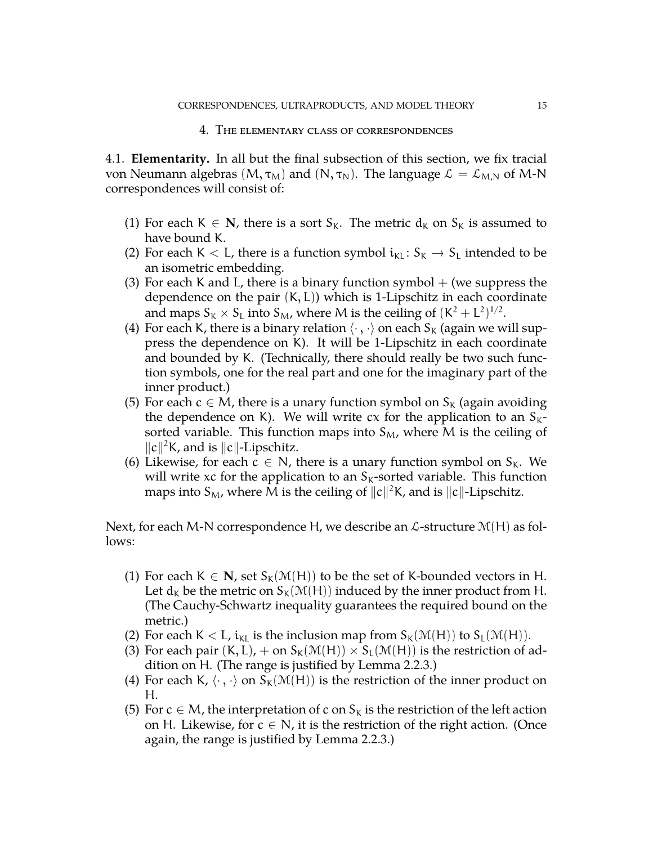#### 4. The elementary class of correspondences

<span id="page-14-1"></span><span id="page-14-0"></span>4.1. **Elementarity.** In all but the final subsection of this section, we fix tracial von Neumann algebras  $(M, \tau_M)$  and  $(N, \tau_N)$ . The language  $\mathcal{L} = \mathcal{L}_{M,N}$  of M-N correspondences will consist of:

- (1) For each  $K \in \mathbb{N}$ , there is a sort  $S_K$ . The metric  $d_K$  on  $S_K$  is assumed to have bound K.
- (2) For each K  $\lt L$ , there is a function symbol  $i_{\text{KL}}: S_K \to S_L$  intended to be an isometric embedding.
- (3) For each K and L, there is a binary function symbol  $+$  (we suppress the dependence on the pair  $(K, L)$ ) which is 1-Lipschitz in each coordinate and maps  $S_K \times S_L$  into  $S_M$ , where M is the ceiling of  $(K^2 + L^2)^{1/2}$ .
- (4) For each K, there is a binary relation  $\langle \cdot, \cdot \rangle$  on each S<sub>K</sub> (again we will suppress the dependence on K). It will be 1-Lipschitz in each coordinate and bounded by K. (Technically, there should really be two such function symbols, one for the real part and one for the imaginary part of the inner product.)
- (5) For each  $c \in M$ , there is a unary function symbol on  $S_K$  (again avoiding the dependence on K). We will write cx for the application to an  $S_{K}$ sorted variable. This function maps into  $S_M$ , where M is the ceiling of  $\|c\|^2$ K, and is  $\|c\|$ -Lipschitz.
- (6) Likewise, for each  $c \in N$ , there is a unary function symbol on  $S_K$ . We will write xc for the application to an  $S<sub>K</sub>$ -sorted variable. This function maps into  $S_M$ , where M is the ceiling of  $\|c\|^2$ K, and is  $\|c\|$ -Lipschitz.

Next, for each M-N correspondence H, we describe an  $\mathcal{L}\text{-structure } \mathcal{M}(H)$  as follows:

- (1) For each K  $\in$  **N**, set S<sub>K</sub>(M(H)) to be the set of K-bounded vectors in H. Let  $d_K$  be the metric on  $S_K(\mathcal{M}(H))$  induced by the inner product from H. (The Cauchy-Schwartz inequality guarantees the required bound on the metric.)
- (2) For each  $K < L$ ,  $i_{KL}$  is the inclusion map from  $S_K(\mathcal{M}(H))$  to  $S_L(\mathcal{M}(H))$ .
- (3) For each pair  $(K, L)$ , + on  $S_K(\mathcal{M}(H)) \times S_L(\mathcal{M}(H))$  is the restriction of addition on H. (The range is justified by Lemma [2.2.3.](#page-5-1))
- (4) For each K,  $\langle \cdot, \cdot \rangle$  on  $S_k(\mathcal{M}(H))$  is the restriction of the inner product on H.
- (5) For  $c \in M$ , the interpretation of c on  $S_K$  is the restriction of the left action on H. Likewise, for  $c \in N$ , it is the restriction of the right action. (Once again, the range is justified by Lemma [2.2.3.](#page-5-1))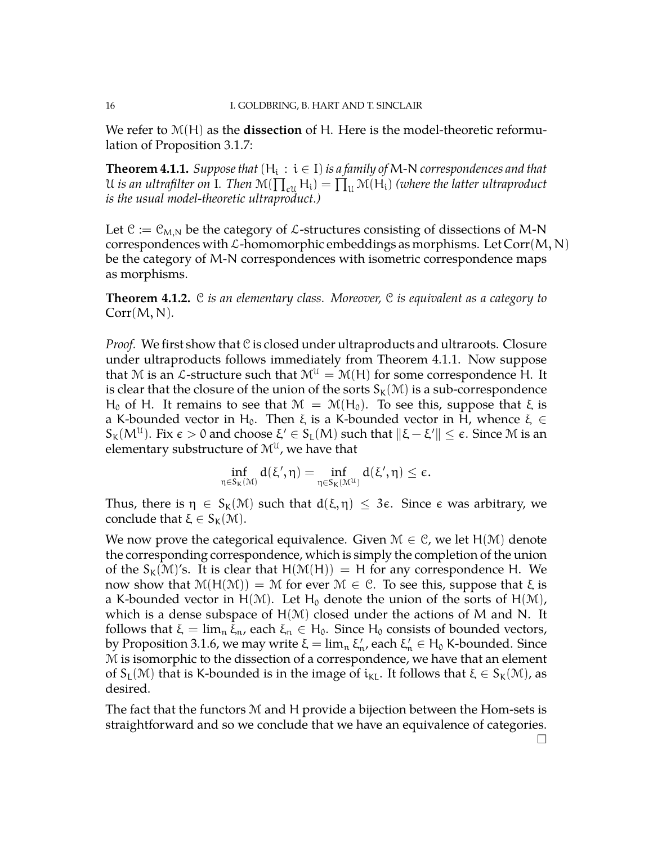We refer to M(H) as the **dissection** of H. Here is the model-theoretic reformulation of Proposition [3.1.7:](#page-11-0)

<span id="page-15-0"></span>**Theorem 4.1.1.** *Suppose that*  $(H_i : i \in I)$  *is a family of M-N correspondences and that* U is an ultrafilter on  $I$ . Then  $\mathcal{M}(\prod_{\text{cl}}H_i)=\prod_u \mathcal{M}(H_i)$  *(where the latter ultraproduct is the usual model-theoretic ultraproduct.)*

Let  $\mathcal{C} := \mathcal{C}_{M,N}$  be the category of  $\mathcal{L}$ -structures consisting of dissections of M-N correspondences with  $\mathcal L$ -homomorphic embeddings as morphisms. Let Corr $(M, N)$ be the category of M-N correspondences with isometric correspondence maps as morphisms.

**Theorem 4.1.2.** C *is an elementary class. Moreover,* C *is equivalent as a category to* Corr(M, N)*.*

*Proof.* We first show that C is closed under ultraproducts and ultraroots. Closure under ultraproducts follows immediately from Theorem [4.1.1.](#page-15-0) Now suppose that M is an L-structure such that  $M^{\mathcal{U}} = \mathcal{M}(H)$  for some correspondence H. It is clear that the closure of the union of the sorts  $S_k(\mathcal{M})$  is a sub-correspondence H<sub>0</sub> of H. It remains to see that  $M = M(H_0)$ . To see this, suppose that ξ is a K-bounded vector in H<sub>0</sub>. Then  $\xi$  is a K-bounded vector in H, whence  $\xi \in$  $\mathcal{S}_\mathsf{K}(\mathsf{M}^\mathfrak{U}).$  Fix  $\epsilon > 0$  and choose  $\xi' \in \mathcal{S}_\mathsf{L}(\mathsf{M})$  such that  $\|\xi - \xi'\| \leq \epsilon.$  Since  $\mathfrak{M}$  is an elementary substructure of  $\mathcal{M}^{\mathfrak{U}}$ , we have that

$$
\inf_{\eta\in S_K(\mathbb M)}d(\xi',\eta)=\inf_{\eta\in S_K(\mathbb M^{\mathfrak U})}d(\xi',\eta)\leq \varepsilon.
$$

Thus, there is  $\eta \in S_K(\mathcal{M})$  such that  $d(\xi, \eta) \leq 3\varepsilon$ . Since  $\varepsilon$  was arbitrary, we conclude that  $\xi \in S_K(\mathcal{M})$ .

We now prove the categorical equivalence. Given  $\mathcal{M} \in \mathcal{C}$ , we let  $H(\mathcal{M})$  denote the corresponding correspondence, which is simply the completion of the union of the  $S_k(\mathcal{M})'$ s. It is clear that  $H(\mathcal{M}(H)) = H$  for any correspondence H. We now show that  $M(H(M)) = M$  for ever  $M \in C$ . To see this, suppose that ξ is a K-bounded vector in H(M). Let H<sub>0</sub> denote the union of the sorts of H(M), which is a dense subspace of  $H(M)$  closed under the actions of M and N. It follows that  $\xi = \lim_{n \to \infty} \xi_n$ , each  $\xi_n \in H_0$ . Since  $H_0$  consists of bounded vectors, by Proposition [3.1.6,](#page-9-1) we may write  $\xi = \lim_{n} \xi'_n$ , each  $\xi'_n \in H_0$  K-bounded. Since M is isomorphic to the dissection of a correspondence, we have that an element of  $S_L(\mathcal{M})$  that is K-bounded is in the image of  $i_{KL}$ . It follows that  $\xi \in S_K(\mathcal{M})$ , as desired.

The fact that the functors M and H provide a bijection between the Hom-sets is straightforward and so we conclude that we have an equivalence of categories.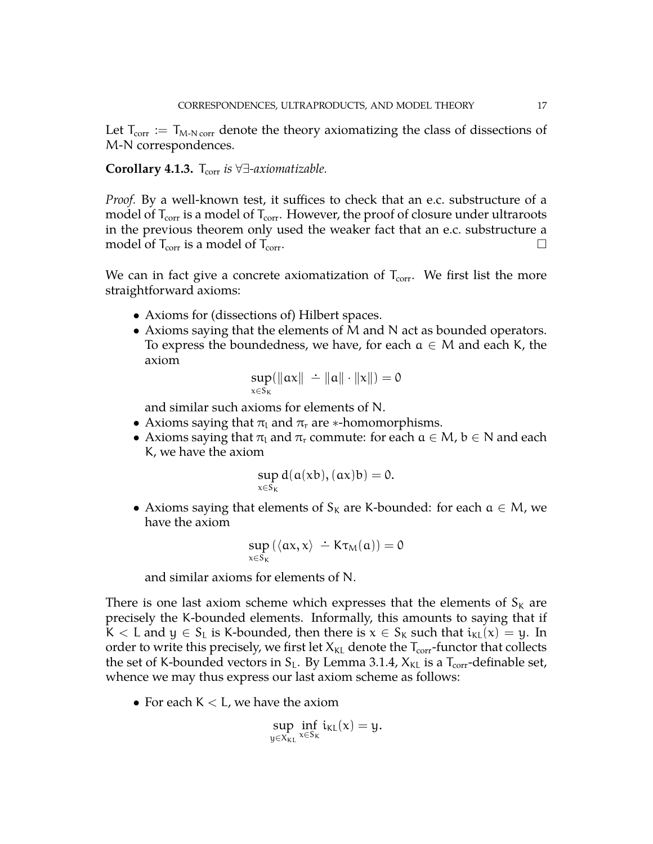Let  $T_{\text{corr}} := T_{M-N \text{ corr}}$  denote the theory axiomatizing the class of dissections of M-N correspondences.

# **Corollary 4.1.3.** T<sub>corr</sub> *is* ∀∃-*axiomatizable.*

*Proof.* By a well-known test, it suffices to check that an e.c. substructure of a model of  $T_{\text{corr}}$  is a model of  $T_{\text{corr}}$ . However, the proof of closure under ultraroots in the previous theorem only used the weaker fact that an e.c. substructure a model of  $T_{\text{corr}}$  is a model of  $T_{\text{corr}}$ .

We can in fact give a concrete axiomatization of  $T_{\text{corr}}$ . We first list the more straightforward axioms:

- Axioms for (dissections of) Hilbert spaces.
- Axioms saying that the elements of M and N act as bounded operators. To express the boundedness, we have, for each  $a \in M$  and each K, the axiom

$$
\sup_{x\in S_K}(\|ax\|\ \dot{-}\|a\|\cdot\|x\|)=0
$$

and similar such axioms for elements of N.

- Axioms saying that  $\pi_l$  and  $\pi_r$  are ∗-homomorphisms.
- Axioms saying that  $\pi_l$  and  $\pi_r$  commute: for each  $a \in M$ ,  $b \in N$  and each K, we have the axiom

$$
\sup_{x\in S_K} d(a(xb), (ax)b) = 0.
$$

• Axioms saying that elements of  $S_k$  are K-bounded: for each  $a \in M$ , we have the axiom

$$
\sup_{x \in S_K} (\langle \alpha x, x \rangle \doteq K \tau_M(\alpha)) = 0
$$

and similar axioms for elements of N.

There is one last axiom scheme which expresses that the elements of  $S_K$  are precisely the K-bounded elements. Informally, this amounts to saying that if K < L and  $y \in S_L$  is K-bounded, then there is  $x \in S_K$  such that  $i_{KL}(x) = y$ . In order to write this precisely, we first let  $X_{KL}$  denote the  $T_{corr}$ -functor that collects the set of K-bounded vectors in  $S_L$ . By Lemma [3.1.4,](#page-8-0)  $X_{KL}$  is a  $T_{corr}$ -definable set, whence we may thus express our last axiom scheme as follows:

• For each  $K < L$ , we have the axiom

$$
\sup_{y\in X_{KL}}\inf_{x\in S_K}i_{KL}(x)=y.
$$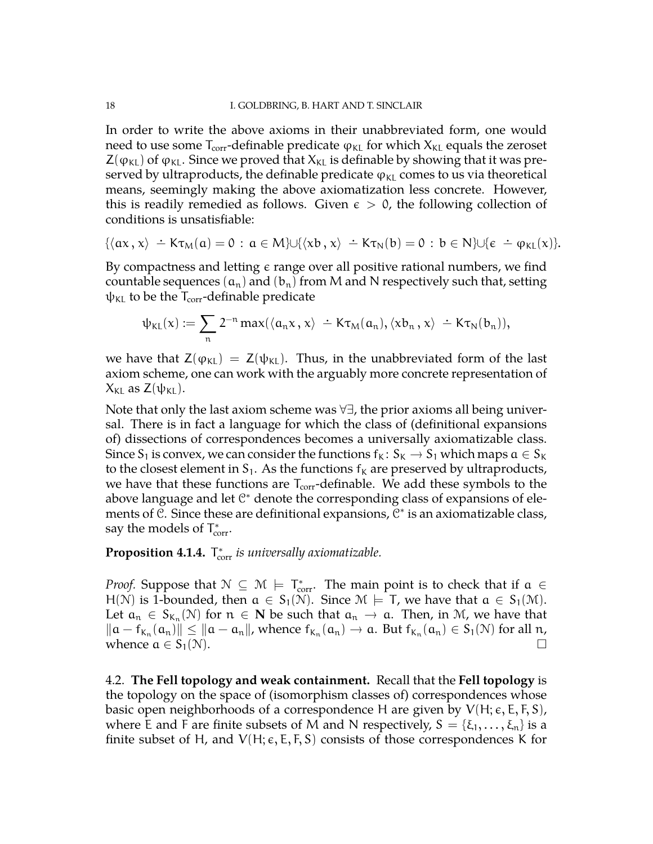In order to write the above axioms in their unabbreviated form, one would need to use some  $T_{corr}$ -definable predicate  $φ_{KL}$  for which  $X_{KL}$  equals the zeroset  $Z(\varphi_{\text{KL}})$  of  $\varphi_{\text{KL}}$ . Since we proved that  $X_{\text{KL}}$  is definable by showing that it was preserved by ultraproducts, the definable predicate  $\varphi_{\text{KL}}$  comes to us via theoretical means, seemingly making the above axiomatization less concrete. However, this is readily remedied as follows. Given  $\epsilon > 0$ , the following collection of conditions is unsatisfiable:

$$
\{\langle \alpha x \, , \, x \rangle \ \dot{-} \ K \tau_M(\alpha) = 0 \, : \, \alpha \in M\} \cup \{\langle xb \, , \, x \rangle \ \dot{-} \ K \tau_N(b) = 0 \, : \, b \in N\} \cup \{\varepsilon \ \dot{-} \phi_{KL}(x)\}.
$$

By compactness and letting  $\epsilon$  range over all positive rational numbers, we find countable sequences  $(a_n)$  and  $(b_n)$  from M and N respectively such that, setting  $\psi_{\text{KL}}$  to be the  $T_{\text{corr}}$ -definable predicate

$$
\psi_{\text{KL}}(x) := \sum_n 2^{-n} \max(\langle a_n x, x \rangle \doteq K \tau_M(a_n), \langle x b_n, x \rangle \doteq K \tau_N(b_n)),
$$

we have that  $Z(\varphi_{KL}) = Z(\psi_{KL})$ . Thus, in the unabbreviated form of the last axiom scheme, one can work with the arguably more concrete representation of  $X_{\text{KL}}$  as  $Z(\psi_{\text{KL}})$ .

Note that only the last axiom scheme was ∀∃, the prior axioms all being universal. There is in fact a language for which the class of (definitional expansions of) dissections of correspondences becomes a universally axiomatizable class. Since S<sub>1</sub> is convex, we can consider the functions  $f_K: S_K \to S_1$  which maps  $a \in S_K$ to the closest element in  $S_1$ . As the functions  $f_k$  are preserved by ultraproducts, we have that these functions are  $T_{\text{corr}}$ -definable. We add these symbols to the above language and let  $\mathbb{C}^*$  denote the corresponding class of expansions of elements of *€*. Since these are definitional expansions,  $C^*$  is an axiomatizable class, say the models of  $T_{\text{corr}}^*$ .

**Proposition 4.1.4.** T<sub>corr</sub> is universally axiomatizable.

*Proof.* Suppose that  $N \subseteq M$   $\models$   $T_{corr}^*$ . The main point is to check that if  $\alpha \in$ H(N) is 1-bounded, then  $a \in S_1(N)$ . Since  $M \models T$ , we have that  $a \in S_1(M)$ . Let  $a_n \in S_{K_n}(N)$  for  $n \in \mathbb{N}$  be such that  $a_n \to a$ . Then, in M, we have that  $\mathbb{R}^n$  for  $\mathbb{R}^n$  for  $\mathbb{R}^n$  for  $\mathbb{R}^n$  for  $\mathbb{R}^n$  for  $\mathbb{R}^n$  for  $\mathbb{R}^n$  for  $\mathbb{R}^n$  for  $\mathbb{R}^n$  for  $\mathbb{$  $\|a - f_{K_n}(a_n)\| \le \|a - a_n\|$ , whence  $f_{K_n}(a_n) \to a$ . But  $f_{K_n}(a_n) \in S_1(\mathcal{N})$  for all  $n$ , whence  $a \in S_1(\mathcal{N})$ .

<span id="page-17-0"></span>4.2. **The Fell topology and weak containment.** Recall that the **Fell topology** is the topology on the space of (isomorphism classes of) correspondences whose basic open neighborhoods of a correspondence H are given by  $V(H; \epsilon, E, F, S)$ , where E and F are finite subsets of M and N respectively,  $S = \{\xi_1, \dots, \xi_n\}$  is a finite subset of H, and  $V(H; \varepsilon, E, F, S)$  consists of those correspondences K for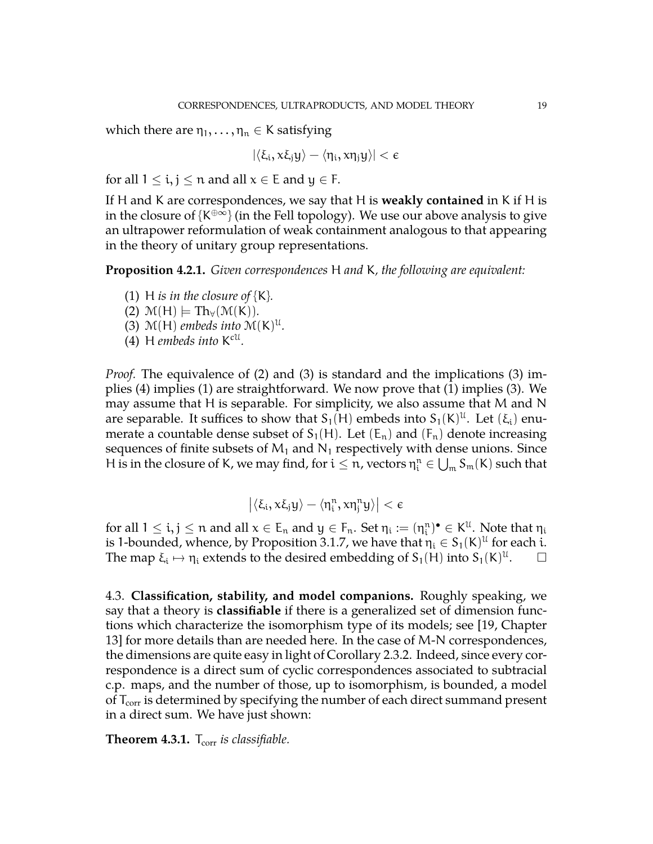which there are  $\eta_1, \ldots, \eta_n \in K$  satisfying

$$
|\langle \xi_i, x\xi_j y \rangle - \langle \eta_i, x\eta_j y \rangle| < \varepsilon
$$

for all  $1 \le i, j \le n$  and all  $x \in E$  and  $y \in F$ .

If H and K are correspondences, we say that H is **weakly contained** in K if H is in the closure of {K $\oplus \infty$ } (in the Fell topology). We use our above analysis to give an ultrapower reformulation of weak containment analogous to that appearing in the theory of unitary group representations.

**Proposition 4.2.1.** *Given correspondences* H *and* K*, the following are equivalent:*

- (1) H *is in the closure of*  ${K}$ .
- $(2)$   $\mathcal{M}(H) \models Th_{\forall}(\mathcal{M}(K)).$
- (3)  $\mathcal{M}(H)$  *embeds into*  $\mathcal{M}(K)^{\mathcal{U}}$ *.*
- (4) H *embeds into* K cU *.*

*Proof.* The equivalence of (2) and (3) is standard and the implications (3) implies (4) implies (1) are straightforward. We now prove that (1) implies (3). We may assume that H is separable. For simplicity, we also assume that M and N are separable. It suffices to show that  $S_1(H)$  embeds into  $S_1(K)^{\mathfrak{U}}$ . Let  $(\xi_i)$  enumerate a countable dense subset of  $S_1(H)$ . Let  $(E_n)$  and  $(F_n)$  denote increasing sequences of finite subsets of  $M_1$  and  $N_1$  respectively with dense unions. Since H is in the closure of K, we may find, for  $i\leq n$ , vectors  $\eta_i^n\in\bigcup_{m}S_m(K)$  such that

$$
\left|\langle \xi_i, x\xi_jy\rangle - \langle \eta_i^n, x\eta_j^n y\rangle\right| < \varepsilon
$$

for all  $1\leq i,j\leq n$  and all  $x\in E_n$  and  $y\in F_n$ . Set  $\eta_i:=(\eta_i^n)^\bullet\in K^{\mathfrak{U}}$ . Note that  $\eta_i$ is 1-bounded, whence, by Proposition [3.1.7,](#page-11-0) we have that  $\eta_i \in S_1(\mathsf{K})^{\mathfrak{U}}$  for each  $\mathfrak{i}.$ The map  $\xi_i \mapsto \eta_i$  extends to the desired embedding of  $S_1(H)$  into  $S_1(K)^{\mathfrak{U}}$  $\Box$ 

<span id="page-18-0"></span>4.3. **Classification, stability, and model companions.** Roughly speaking, we say that a theory is **classifiable** if there is a generalized set of dimension functions which characterize the isomorphism type of its models; see [\[19,](#page-34-12) Chapter 13] for more details than are needed here. In the case of M-N correspondences, the dimensions are quite easy in light of Corollary [2.3.2.](#page-7-2) Indeed, since every correspondence is a direct sum of cyclic correspondences associated to subtracial c.p. maps, and the number of those, up to isomorphism, is bounded, a model of  $T_{\text{corr}}$  is determined by specifying the number of each direct summand present in a direct sum. We have just shown:

**Theorem 4.3.1.** T<sub>corr</sub> *is classifiable.*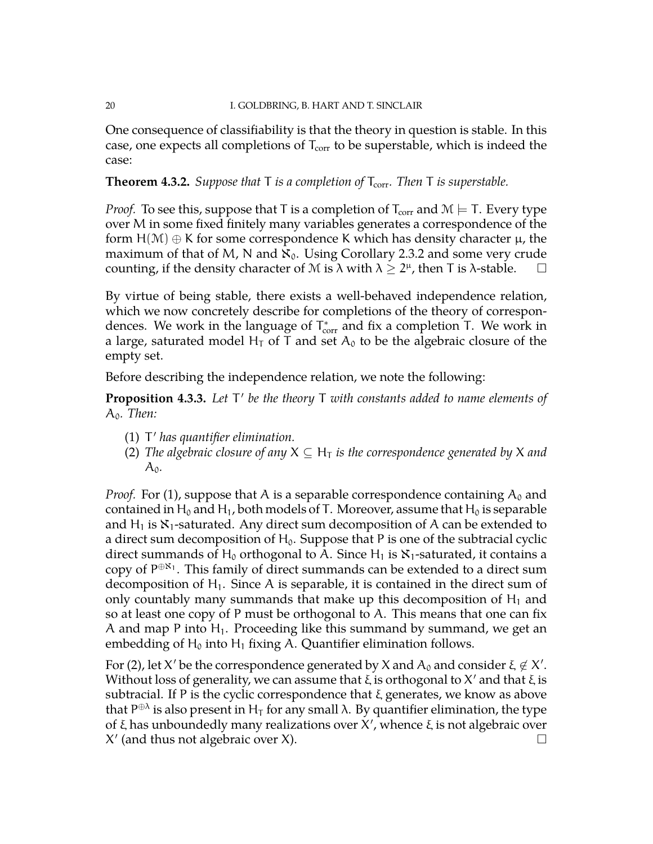One consequence of classifiability is that the theory in question is stable. In this case, one expects all completions of  $T_{\text{corr}}$  to be superstable, which is indeed the case:

**Theorem 4.3.2.** *Suppose that*  $T$  *is a completion of*  $T_{corr}$ *. Then*  $T$  *is superstable.* 

*Proof.* To see this, suppose that T is a completion of  $T_{corr}$  and  $M \models T$ . Every type over M in some fixed finitely many variables generates a correspondence of the form  $H(\mathcal{M}) \oplus K$  for some correspondence K which has density character  $\mu$ , the maximum of that of M, N and  $\aleph_0$ . Using Corollary [2.3.2](#page-7-2) and some very crude counting, if the density character of M is  $\lambda$  with  $\lambda \geq 2^{\mu}$ , then T is  $\lambda$ -stable.  $\Box$ 

By virtue of being stable, there exists a well-behaved independence relation, which we now concretely describe for completions of the theory of correspondences. We work in the language of  $T^*_{\text{corr}}$  and fix a completion T. We work in a large, saturated model H<sub>T</sub> of T and set  $A_0$  to be the algebraic closure of the empty set.

Before describing the independence relation, we note the following:

<span id="page-19-0"></span>**Proposition 4.3.3.** Let T' be the theory T with constants added to name elements of A0*. Then:*

- (1) T' has quantifier elimination.
- (2) *The algebraic closure of any*  $X \subseteq H_T$  *is the correspondence generated by* X *and*  $A_0$ .

*Proof.* For (1), suppose that A is a separable correspondence containing  $A_0$  and contained in H<sub>0</sub> and H<sub>1</sub>, both models of T. Moreover, assume that H<sub>0</sub> is separable and H<sub>1</sub> is  $\mathcal{X}_1$ -saturated. Any direct sum decomposition of A can be extended to a direct sum decomposition of  $H_0$ . Suppose that P is one of the subtracial cyclic direct summands of H<sub>0</sub> orthogonal to A. Since H<sub>1</sub> is  $\mathbf{X}_1$ -saturated, it contains a copy of  $P^{\oplus \aleph_1}$ . This family of direct summands can be extended to a direct sum decomposition of  $H_1$ . Since A is separable, it is contained in the direct sum of only countably many summands that make up this decomposition of  $H_1$  and so at least one copy of P must be orthogonal to A. This means that one can fix A and map P into  $H_1$ . Proceeding like this summand by summand, we get an embedding of  $H_0$  into  $H_1$  fixing A. Quantifier elimination follows.

For (2), let X' be the correspondence generated by X and  $A_0$  and consider  $\xi \notin X'$ . Without loss of generality, we can assume that  $\xi$  is orthogonal to  $X'$  and that  $\xi$  is subtracial. If P is the cyclic correspondence that  $\xi$  generates, we know as above that P $^{\oplus \lambda}$  is also present in H<sub>T</sub> for any small λ. By quantifier elimination, the type of ξ has unboundedly many realizations over  $X'$ , whence ξ is not algebraic over  $X'$  (and thus not algebraic over X).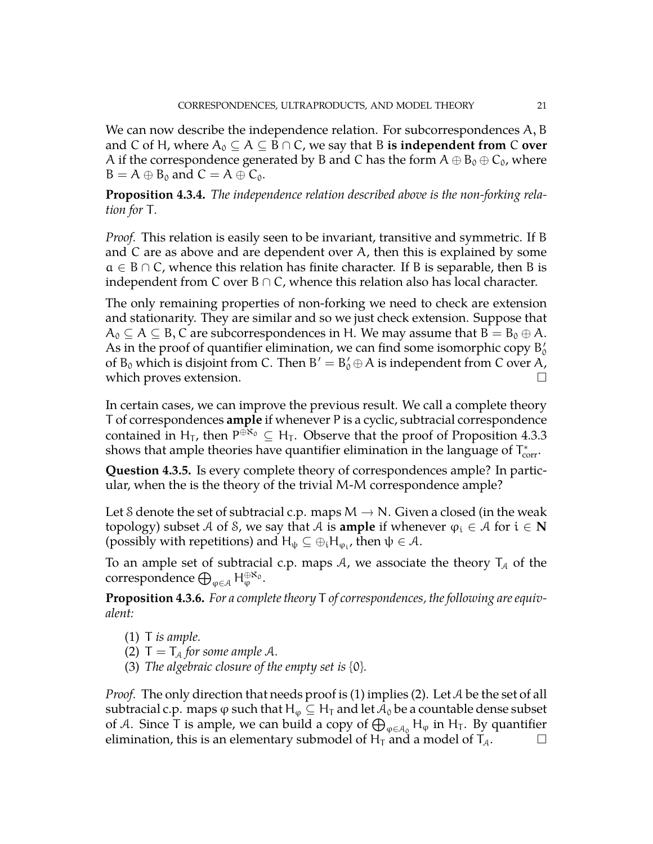We can now describe the independence relation. For subcorrespondences A, B and C of H, where  $A_0 \subseteq A \subseteq B \cap C$ , we say that B **is independent from** C **over** A if the correspondence generated by B and C has the form  $\rm A\oplus B_0\oplus C_0$ , where  $B = A \oplus B_0$  and  $C = A \oplus C_0$ .

**Proposition 4.3.4.** *The independence relation described above is the non-forking relation for* T*.*

*Proof.* This relation is easily seen to be invariant, transitive and symmetric. If B and C are as above and are dependent over A, then this is explained by some  $a \in B \cap C$ , whence this relation has finite character. If B is separable, then B is independent from C over  $B \cap C$ , whence this relation also has local character.

The only remaining properties of non-forking we need to check are extension and stationarity. They are similar and so we just check extension. Suppose that  $A_0 \subseteq A \subseteq B$ , C are subcorrespondences in H. We may assume that  $B = B_0 \oplus A$ . As in the proof of quantifier elimination, we can find some isomorphic copy  $\rm B'_{0}$ of  $B_0$  which is disjoint from C. Then  $B' = B'_0 \oplus A$  is independent from C over A, which proves extension.  $\hfill \square$ 

In certain cases, we can improve the previous result. We call a complete theory T of correspondences **ample** if whenever P is a cyclic, subtracial correspondence contained in H<sub>T</sub>, then  $P^{\oplus \aleph_0} \subseteq H_T$ . Observe that the proof of Proposition [4.3.3](#page-19-0) shows that ample theories have quantifier elimination in the language of  $T_{\text{corr}}^*$ .

**Question 4.3.5.** Is every complete theory of correspondences ample? In particular, when the is the theory of the trivial M-M correspondence ample?

Let S denote the set of subtracial c.p. maps  $M \to N$ . Given a closed (in the weak topology) subset A of S, we say that A is **ample** if whenever  $\varphi_i \in A$  for  $i \in \mathbb{N}$ (possibly with repetitions) and  $H_{\psi} \subseteq \oplus_i H_{\varphi_i}$ , then  $\psi \in \mathcal{A}$ .

To an ample set of subtracial c.p. maps A, we associate the theory  $T_A$  of the correspondence  $\bigoplus_{\varphi \in \mathcal{A}} \mathsf{H}_{\varphi}^{\oplus \aleph_0}.$ 

**Proposition 4.3.6.** *For a complete theory* T *of correspondences, the following are equivalent:*

- (1) T *is ample.*
- (2)  $T = T_A$  *for some ample A.*
- (3) *The algebraic closure of the empty set is* {0}*.*

*Proof.* The only direction that needs proof is (1) implies (2). Let A be the set of all subtracial c.p. maps  $\varphi$  such that  $H_{\varphi} \subseteq H_T$  and let  $\mathcal{A}_0$  be a countable dense subset of A. Since T is ample, we can build a copy of  $\bigoplus_{\varphi\in A_0}H_\varphi$  in  $H_T$ . By quantifier elimination, this is an elementary submodel of  $H_T$  and a model of  $T_A$ .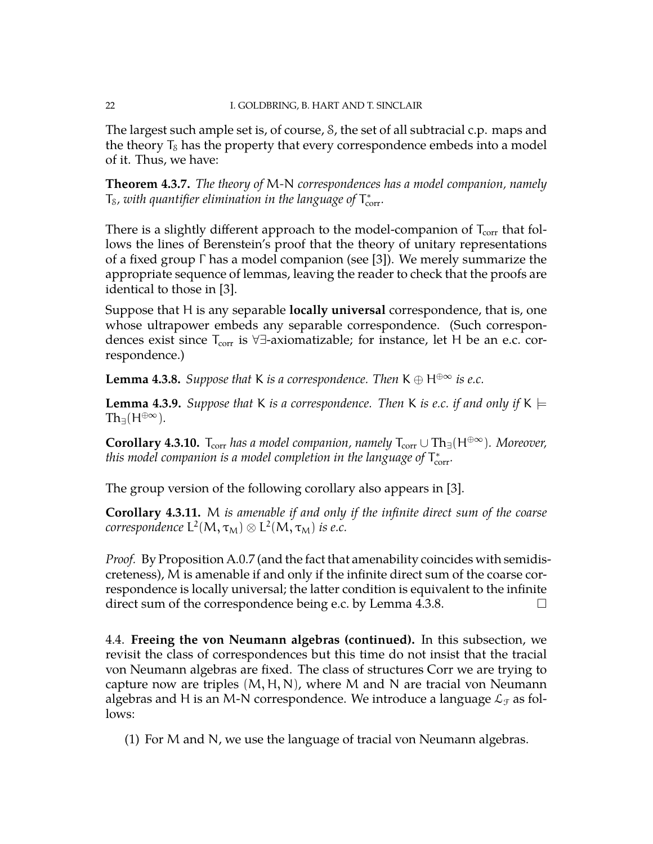The largest such ample set is, of course, S, the set of all subtracial c.p. maps and the theory  $T_s$  has the property that every correspondence embeds into a model of it. Thus, we have:

**Theorem 4.3.7.** *The theory of* M*-*N *correspondences has a model companion, namely*  $T_{\scriptscriptstyle\rm S}$ , with quantifier elimination in the language of  $T^*_{\rm corr}$ .

There is a slightly different approach to the model-companion of  $T_{\text{corr}}$  that follows the lines of Berenstein's proof that the theory of unitary representations of a fixed group Γ has a model companion (see [\[3\]](#page-34-13)). We merely summarize the appropriate sequence of lemmas, leaving the reader to check that the proofs are identical to those in [\[3\]](#page-34-13).

Suppose that H is any separable **locally universal** correspondence, that is, one whose ultrapower embeds any separable correspondence. (Such correspondences exist since  $T_{\text{corr}}$  is  $\forall \exists$ -axiomatizable; for instance, let H be an e.c. correspondence.)

<span id="page-21-1"></span>**Lemma 4.3.8.** *Suppose that* K *is a correspondence. Then*  $K \oplus H^{\oplus \infty}$  *is e.c.* 

**Lemma 4.3.9.** *Suppose that* K *is a correspondence. Then* K *is e.c. if and only if* K  $\models$  $Th<sub>∃</sub>(H<sup>oplus∞</sup>)$ .

**Corollary 4.3.10.**  $T_{corr}$  *has a model companion, namely*  $T_{corr} \cup Th_{\exists}(H^{\oplus \infty})$ *. Moreover,* this model companion is a model completion in the language of  $\mathsf{T}_\text{corr}^*$ .

The group version of the following corollary also appears in [\[3\]](#page-34-13).

**Corollary 4.3.11.** M *is amenable if and only if the infinite direct sum of the coarse*  $\mathcal{C}or$ respondence  $\mathsf{L}^2(\mathsf{M},\tau_{\mathsf{M}}) \otimes \mathsf{L}^2(\mathsf{M},\tau_{\mathsf{M}})$  is e.c.

*Proof.* By Proposition [A.0.7](#page-34-14) (and the fact that amenability coincides with semidiscreteness), M is amenable if and only if the infinite direct sum of the coarse correspondence is locally universal; the latter condition is equivalent to the infinite direct sum of the correspondence being e.c. by Lemma [4.3.8.](#page-21-1)  $\Box$ 

<span id="page-21-0"></span>4.4. **Freeing the von Neumann algebras (continued).** In this subsection, we revisit the class of correspondences but this time do not insist that the tracial von Neumann algebras are fixed. The class of structures Corr we are trying to capture now are triples  $(M, H, N)$ , where M and N are tracial von Neumann algebras and H is an M-N correspondence. We introduce a language  $\mathcal{L}_{\mathcal{F}}$  as follows:

(1) For M and N, we use the language of tracial von Neumann algebras.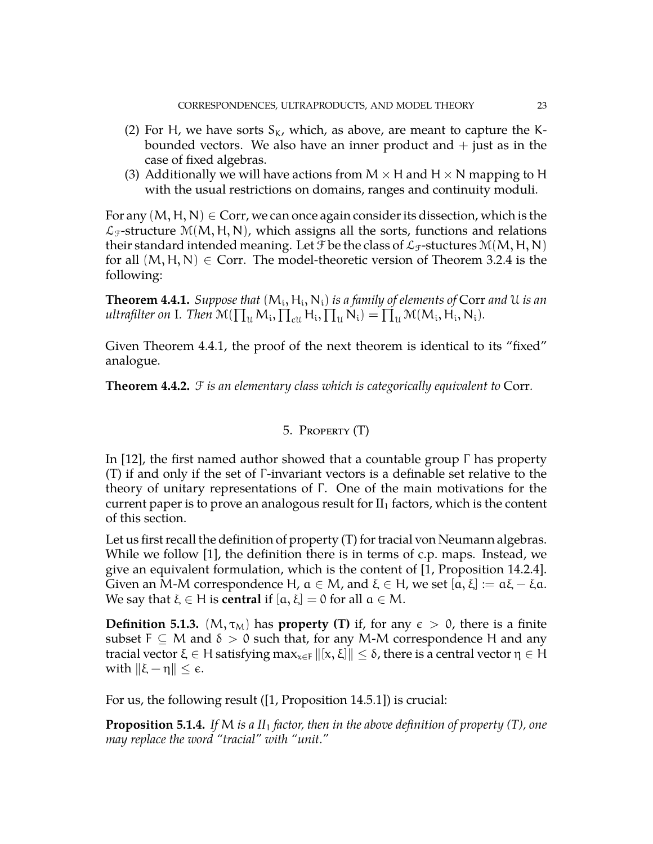- (2) For H, we have sorts  $S_K$ , which, as above, are meant to capture the Kbounded vectors. We also have an inner product and  $+$  just as in the case of fixed algebras.
- (3) Additionally we will have actions from  $M \times H$  and  $H \times N$  mapping to H with the usual restrictions on domains, ranges and continuity moduli.

For any  $(M, H, N) \in \text{Corr}$ , we can once again consider its dissection, which is the  $\mathcal{L}_{\mathcal{F}}$ -structure M(M, H, N), which assigns all the sorts, functions and relations their standard intended meaning. Let  $\mathcal F$  be the class of  $\mathcal L_{\mathcal F}$ -stuctures  $\mathcal M(M, H, N)$ for all  $(M, H, N) \in$  Corr. The model-theoretic version of Theorem [3.2.4](#page-13-1) is the following:

<span id="page-22-1"></span>**Theorem 4.4.1.** Suppose that  $(M_i, H_i, N_i)$  is a family of elements of Corr and U is an *ultrafilter on* I*. Then*  $\mathcal{M}(\prod_{\mathfrak{U}}M_i, \prod_{\mathfrak{c}U}H_i, \prod_{\mathfrak{U}}N_i) = \prod_{\mathfrak{U}}^{\cdot} \mathcal{M}(M_i, H_i, N_i)$ *.* 

Given Theorem [4.4.1,](#page-22-1) the proof of the next theorem is identical to its "fixed" analogue.

<span id="page-22-0"></span>**Theorem 4.4.2.** F *is an elementary class which is categorically equivalent to* Corr*.*

# 5. Property (T)

In [\[12\]](#page-34-6), the first named author showed that a countable group Γ has property (T) if and only if the set of Γ -invariant vectors is a definable set relative to the theory of unitary representations of Γ. One of the main motivations for the current paper is to prove an analogous result for  $II_1$  factors, which is the content of this section.

Let us first recall the definition of property (T) for tracial von Neumann algebras. While we follow [\[1\]](#page-34-11), the definition there is in terms of c.p. maps. Instead, we give an equivalent formulation, which is the content of [\[1,](#page-34-11) Proposition 14.2.4]. Given an M-M correspondence H,  $a \in M$ , and  $\xi \in H$ , we set  $[a, \xi] := a\xi - \xi a$ . We say that  $\xi \in H$  is **central** if  $[\alpha, \xi] = 0$  for all  $\alpha \in M$ .

<span id="page-22-2"></span>**Definition 5.1.3.** ( $M, \tau_M$ ) has **property (T)** if, for any  $\epsilon > 0$ , there is a finite subset  $F \subseteq M$  and  $\delta > 0$  such that, for any M-M correspondence H and any tracial vector  $\xi \in H$  satisfying max<sub>x∈F</sub>  $\|[x, \xi] \| \leq \delta$ , there is a central vector  $\eta \in H$ with  $\|\xi - \eta\| \leq \epsilon$ .

For us, the following result ([\[1,](#page-34-11) Proposition 14.5.1]) is crucial:

**Proposition 5.1.4.** *If* M *is a II*<sup>1</sup> *factor, then in the above definition of property (T), one may replace the word "tracial" with "unit."*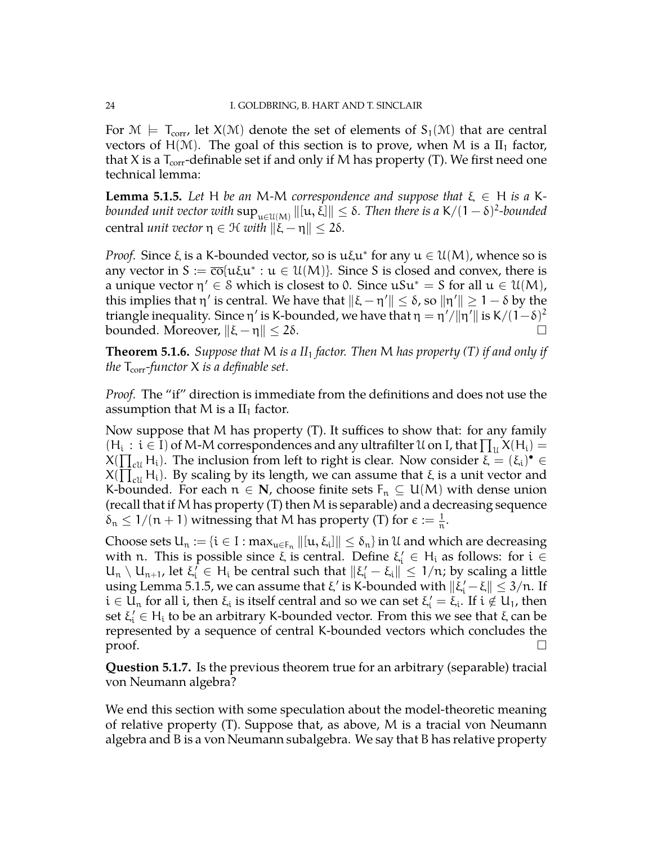For  $\mathcal{M} \models T_{corr}$ , let  $\mathcal{X}(\mathcal{M})$  denote the set of elements of  $S_1(\mathcal{M})$  that are central vectors of  $H(M)$ . The goal of this section is to prove, when M is a  $II_1$  factor, that X is a  $T_{\text{corr}}$ -definable set if and only if M has property (T). We first need one technical lemma:

<span id="page-23-0"></span>**Lemma 5.1.5.** Let H be an M-M correspondence and suppose that  $\xi \in H$  is a Kbounded unit vector with  $\sup_{u\in \mathbb{U}(M)}\|[u,\xi]\|\leq \delta.$  Then there is a  $\mathsf{K}/(1-\delta)^2$ -bounded central *unit vector*  $η ∈ H$  *with*  $\|\xi - η\| ≤ 2δ$ *.* 

*Proof.* Since  $\xi$  is a K-bounded vector, so is  $u\xi u^*$  for any  $u \in \mathcal{U}(M)$ , whence so is any vector in  $S := \overline{co} \{u\xi u^* : u \in \mathcal{U}(M)\}$ . Since S is closed and convex, there is a unique vector  $\eta' \in \mathcal{S}$  which is closest to 0. Since  $\mathfrak{u}S\mathfrak{u}^* = S$  for all  $\mathfrak{u} \in \mathfrak{U}(M)$ , this implies that η' is central. We have that  $\|\xi - \eta'\| \le \delta$ , so  $\|\eta'\| \ge 1 - \delta$  by the triangle inequality. Since η' is K-bounded, we have that  $η = η'/||η'||$  is K $/(1-δ)^2$ bounded. Moreover,  $\|\xi - \eta\| \le 2\delta$ .

**Theorem 5.1.6.** *Suppose that* M *is a II*<sup>1</sup> *factor. Then* M *has property (T) if and only if the*  $T_{\text{corr}}$ *-functor*  $X$  *is a definable set.* 

*Proof.* The "if" direction is immediate from the definitions and does not use the assumption that  $M$  is a  $II<sub>1</sub>$  factor.

Now suppose that M has property (T). It suffices to show that: for any family  $(H_i : i \in I)$  of M-M correspondences and any ultrafilter U on I, that  $\prod_u X(H_i) =$  $X(\prod_{\text{ell}} H_i)$ . The inclusion from left to right is clear. Now consider  $\overline{\xi} = (\xi_i)^\bullet \in$  $X(\prod_{\alpha}^{\infty} H_i)$ . By scaling by its length, we can assume that  $\xi$  is a unit vector and K-bounded. For each  $n \in \mathbb{N}$ , choose finite sets  $F_n \subseteq U(M)$  with dense union (recall that if M has property (T) then M is separable) and a decreasing sequence  $\delta_n \leq 1/(n+1)$  witnessing that M has property (T) for  $\epsilon := \frac{1}{n}$ .

Choose sets  $U_n := \{i \in I : \max_{u \in F_n} \| [u, \xi_i] \| \le \delta_n \}$  in  $\mathcal U$  and which are decreasing with n. This is possible since  $\xi$  is central. Define  $\xi_i' \in H_i$  as follows: for  $i \in$  $U_n \setminus U_{n+1}$ , let  $\xi_i^{\dagger} \in H_i$  be central such that  $\|\xi_i^{\dagger} - \xi_i\| \leq 1/n$ ; by scaling a little using Lemma [5.1.5,](#page-23-0) we can assume that  $\xi'$  is K-bounded with  $\|\tilde{\xi}'_i-\xi\|\leq 3/n$ . If  $i \in \bar{U}_n$  for all i, then  $\xi_i$  is itself central and so we can set  $\xi'_i = \xi_i$ . If  $i \notin U_1$ , then set  $\xi_i' \in H_i$  to be an arbitrary K-bounded vector. From this we see that  $\xi$  can be represented by a sequence of central K-bounded vectors which concludes the  $\Box$ 

**Question 5.1.7.** Is the previous theorem true for an arbitrary (separable) tracial von Neumann algebra?

We end this section with some speculation about the model-theoretic meaning of relative property (T). Suppose that, as above, M is a tracial von Neumann algebra and B is a von Neumann subalgebra. We say that B has relative property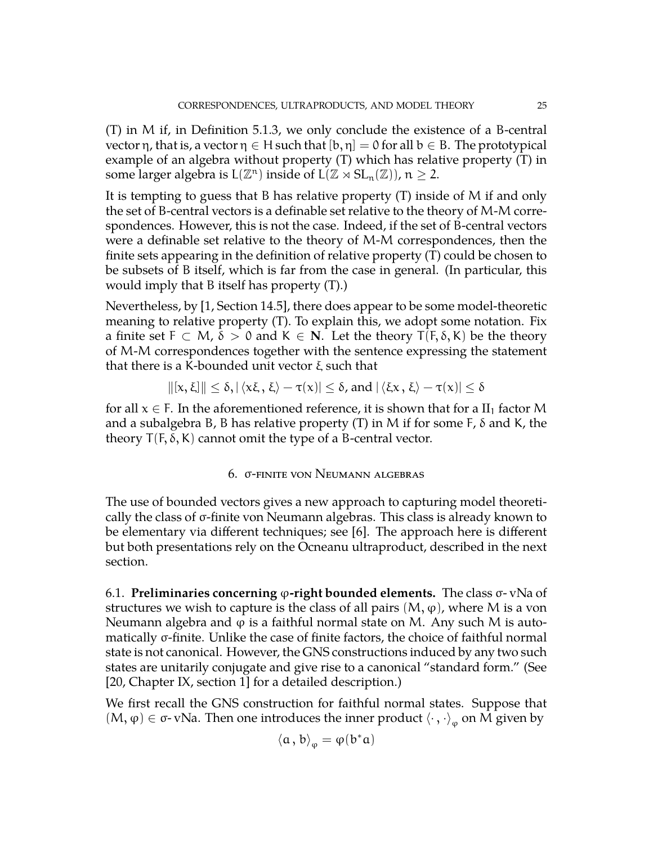(T) in M if, in Definition [5.1.3,](#page-22-2) we only conclude the existence of a B-central vector η, that is, a vector η ∈ H such that  $[b, \eta] = 0$  for all  $b \in B$ . The prototypical example of an algebra without property (T) which has relative property (T) in some larger algebra is  $L(\mathbb{Z}^n)$  inside of  $L(\mathbb{Z} \rtimes SL_n(\mathbb{Z}))$ ,  $n \geq 2$ .

It is tempting to guess that B has relative property (T) inside of M if and only the set of B-central vectors is a definable set relative to the theory of M-M correspondences. However, this is not the case. Indeed, if the set of B-central vectors were a definable set relative to the theory of M-M correspondences, then the finite sets appearing in the definition of relative property (T) could be chosen to be subsets of B itself, which is far from the case in general. (In particular, this would imply that B itself has property (T).)

Nevertheless, by [\[1,](#page-34-11) Section 14.5], there does appear to be some model-theoretic meaning to relative property (T). To explain this, we adopt some notation. Fix a finite set  $F \subset M$ ,  $\delta > 0$  and  $K \in N$ . Let the theory  $T(F, \delta, K)$  be the theory of M-M correspondences together with the sentence expressing the statement that there is a K-bounded unit vector ξ such that

$$
||[x, \xi]|| \le \delta, |\langle x\xi, \xi \rangle - \tau(x)| \le \delta, \text{ and } |\langle \xi x, \xi \rangle - \tau(x)| \le \delta
$$

for all  $x \in F$ . In the aforementioned reference, it is shown that for a II<sub>1</sub> factor M and a subalgebra B, B has relative property  $(T)$  in M if for some F,  $\delta$  and K, the theory  $T(F, \delta, K)$  cannot omit the type of a B-central vector.

# 6. σ-finite von Neumann algebras

<span id="page-24-0"></span>The use of bounded vectors gives a new approach to capturing model theoretically the class of σ-finite von Neumann algebras. This class is already known to be elementary via different techniques; see [\[6\]](#page-34-7). The approach here is different but both presentations rely on the Ocneanu ultraproduct, described in the next section.

<span id="page-24-1"></span>6.1. **Preliminaries concerning** ϕ**-right bounded elements.** The class σ- vNa of structures we wish to capture is the class of all pairs  $(M, \varphi)$ , where M is a von Neumann algebra and  $\varphi$  is a faithful normal state on M. Any such M is automatically σ-finite. Unlike the case of finite factors, the choice of faithful normal state is not canonical. However, the GNS constructions induced by any two such states are unitarily conjugate and give rise to a canonical "standard form." (See [\[20,](#page-34-15) Chapter IX, section 1] for a detailed description.)

We first recall the GNS construction for faithful normal states. Suppose that (M, φ) ∈ σ- vNa. Then one introduces the inner product  $\langle \cdot, \cdot \rangle_{\phi}$  on M given by

$$
\left\langle a\,,\,b\right\rangle _{\phi}=\phi(b^{\ast}a)
$$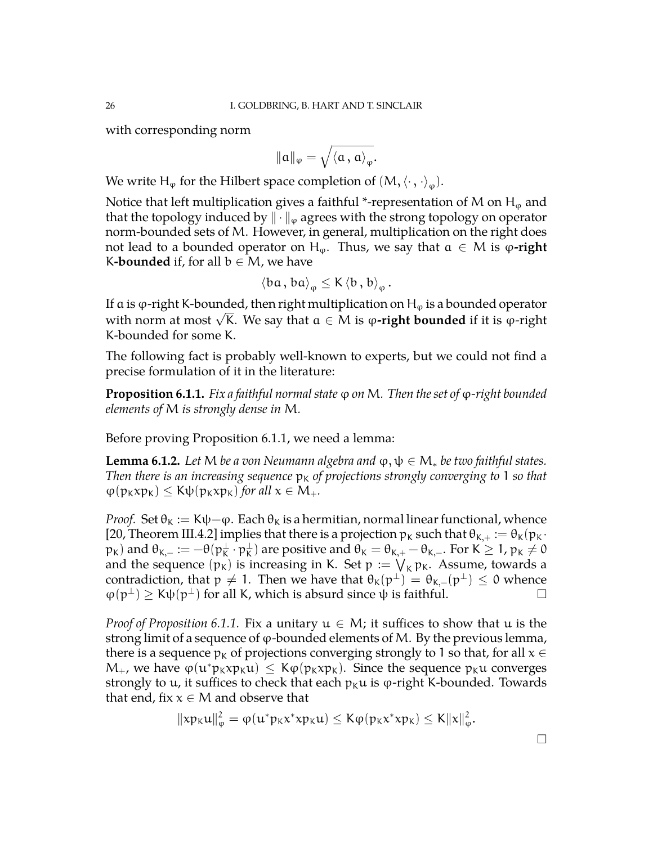with corresponding norm

$$
\| \alpha \|_\phi = \sqrt{\left< \alpha \, , \, \alpha \right>_\phi}.
$$

We write  $H_{\phi}$  for the Hilbert space completion of  $(M,\langle\cdot\,,\cdot\rangle_{\phi}).$ 

Notice that left multiplication gives a faithful \*-representation of M on  $H_{\varphi}$  and that the topology induced by  $\|\cdot\|_{\varphi}$  agrees with the strong topology on operator norm-bounded sets of M. However, in general, multiplication on the right does not lead to a bounded operator on H<sub> $\varphi$ </sub>. Thus, we say that  $\alpha \in M$  is  $\varphi$ -right K**-bounded** if, for all  $b \in M$ , we have

$$
\left\langle \mathbf{ba}\,,\,\mathbf{ba}\right\rangle _{\phi}\leq\mathrm{K}\left\langle \mathbf{b}\,,\,\mathbf{b}\right\rangle _{\phi}.
$$

If a is  $\varphi$ -right K-bounded, then right multiplication on H<sub> $\varphi$ </sub> is a bounded operator with norm at most <sup>√</sup> K. We say that a ∈ M is ϕ**-right bounded** if it is ϕ-right K-bounded for some K.

The following fact is probably well-known to experts, but we could not find a precise formulation of it in the literature:

<span id="page-25-0"></span>**Proposition 6.1.1.** *Fix a faithful normal state* ϕ *on* M*. Then the set of* ϕ*-right bounded elements of* M *is strongly dense in* M*.*

Before proving Proposition [6.1.1,](#page-25-0) we need a lemma:

**Lemma 6.1.2.** *Let* M *be a von Neumann algebra and*  $\varphi, \psi \in M_*$  *be two faithful states. Then there is an increasing sequence*  $p_k$  *of projections strongly converging to* 1 *so that*  $\varphi(p_K x p_K) \leq K \psi(p_K x p_K)$  *for all*  $x \in M_+$ *.* 

*Proof.* Set  $\theta_K := K\psi - \varphi$ . Each  $\theta_K$  is a hermitian, normal linear functional, whence [\[20,](#page-34-15) Theorem III.4.2] implies that there is a projection  $p_k$  such that  $\theta_{K,+} := \theta_K(p_K \cdot$  $({\sf p}_{{\sf K}})$  and  ${\sf \theta}_{{\sf K},-}:= -{\sf \theta}({\sf p}_{{\sf K}}^\perp\cdot {\sf p}_{{\sf K}}^\perp)$  are positive and  ${\sf \theta}_{{\sf K}}={\sf \theta}_{{\sf K},+}-{\sf \theta}_{{\sf K},-}.$  For  ${\sf K}\geq 1$ ,  ${\sf p}_{{\sf K}}\neq 0$ and the sequence  $(p_K)$  is increasing in K. Set  $p := \bigvee_K p_K$ . Assume, towards a contradiction, that  $p \neq 1$ . Then we have that  $\theta_K(p^{\perp}) = \theta_{K,-}(p^{\perp}) \leq 0$  whence  $\varphi(p^{\perp}) \geq K\psi(p^{\perp})$  for all K, which is absurd since  $\psi$  is faithful.

*Proof of Proposition* [6.1.1.](#page-25-0) Fix a unitary  $u \in M$ ; it suffices to show that u is the strong limit of a sequence of  $\varphi$ -bounded elements of M. By the previous lemma, there is a sequence  $p_k$  of projections converging strongly to 1 so that, for all  $x \in$  $M_+$ , we have  $\varphi(u^*p_Kx p_Ku) \leq K\varphi(p_Kx p_K)$ . Since the sequence  $p_Ku$  converges strongly to u, it suffices to check that each  $p_ku$  is  $\varphi$ -right K-bounded. Towards that end, fix  $x \in M$  and observe that

$$
\|x p_K u\|_\phi^2 = \phi(u^* p_K x^* x p_K u) \leq K \phi(p_K x^* x p_K) \leq K \|x\|_\phi^2.
$$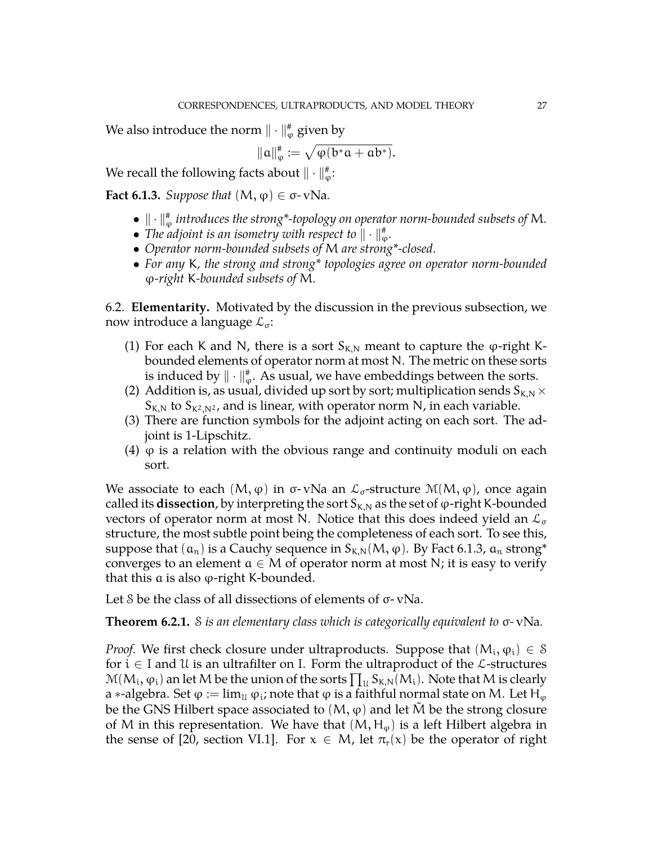We also introduce the norm  $\|\cdot\|_\phi^{\ast}$  given by

$$
\| \alpha \|_\phi^{\text{\tt\#}} := \sqrt{\phi(b^* \alpha + a b^*)}.
$$

We recall the following facts about  $\|\cdot\|_\varphi^{\text{*}}$ :

<span id="page-26-1"></span>**Fact 6.1.3.** *Suppose that*  $(M, \varphi) \in \sigma$ - vNa.

- $\bullet \parallel \cdot \parallel_{\phi}^{\#}$  introduces the strong\*-topology on operator norm-bounded subsets of M.
- The adjoint is an isometry with respect to  $\|\cdot\|_\varphi^*$ .
- *Operator norm-bounded subsets of* M *are strong\*-closed.*
- *For any* K*, the strong and strong\* topologies agree on operator norm-bounded* ϕ*-right* K*-bounded subsets of* M*.*

<span id="page-26-0"></span>6.2. **Elementarity.** Motivated by the discussion in the previous subsection, we now introduce a language  $\mathcal{L}_{\sigma}$ :

- (1) For each K and N, there is a sort  $S_{K,N}$  meant to capture the  $\varphi$ -right Kbounded elements of operator norm at most N. The metric on these sorts is induced by  $\|\cdot\|_\varphi^*$ . As usual, we have embeddings between the sorts.
- (2) Addition is, as usual, divided up sort by sort; multiplication sends  $S_{K,N} \times$  $S_{K,N}$  to  $S_{K^2,N^2}$ , and is linear, with operator norm N, in each variable.
- (3) There are function symbols for the adjoint acting on each sort. The adjoint is 1-Lipschitz.
- (4)  $\varphi$  is a relation with the obvious range and continuity moduli on each sort.

We associate to each  $(M, \varphi)$  in  $\sigma$ - vNa an  $\mathcal{L}_{\sigma}$ -structure  $\mathcal{M}(M, \varphi)$ , once again called its **dissection**, by interpreting the sort  $S_{K,N}$  as the set of  $\varphi$ -right K-bounded vectors of operator norm at most N. Notice that this does indeed yield an  $\mathcal{L}_{\sigma}$ structure, the most subtle point being the completeness of each sort. To see this, suppose that  $(a_n)$  is a Cauchy sequence in  $S_{K,N}(M, \varphi)$ . By Fact [6.1.3,](#page-26-1)  $a_n$  strong\* converges to an element  $a \in M$  of operator norm at most N; it is easy to verify that this  $\alpha$  is also  $\varphi$ -right K-bounded.

Let S be the class of all dissections of elements of σ- vNa.

**Theorem 6.2.1.** S *is an elementary class which is categorically equivalent to* σ*-* vNa*.*

*Proof.* We first check closure under ultraproducts. Suppose that  $(M_i, \varphi_i) \in \mathcal{S}$ for  $i \in I$  and  $U$  is an ultrafilter on I. Form the ultraproduct of the  $\mathcal{L}$ -structures  $\mathcal{M}(M_i,\phi_i)$  an let M be the union of the sorts  $\prod_{\mathcal{U}}S_{K,N}(M_i).$  Note that M is clearly a ∗-algebra. Set  $\varphi:=\lim_\mathcal{U}\varphi_\mathfrak{i}$ ; note that  $\varphi$  is a faithful normal state on M. Let H $_\varphi$ be the GNS Hilbert space associated to  $(M, \varphi)$  and let M be the strong closure of M in this representation. We have that  $(M, H_{\varphi})$  is a left Hilbert algebra in the sense of [\[20,](#page-34-15) section VI.1]. For  $x \in M$ , let  $\pi_r(x)$  be the operator of right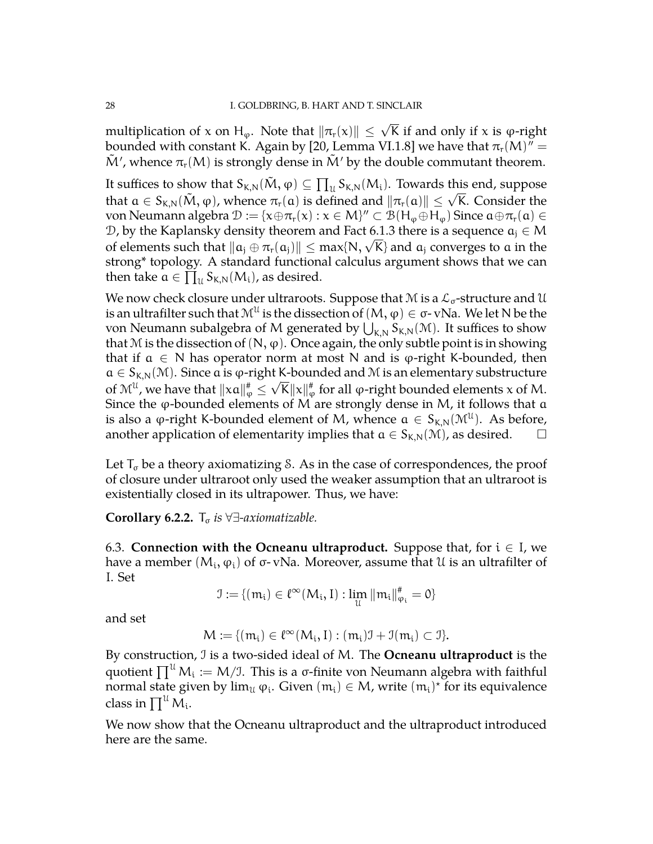multiplication of x on H<sub>φ</sub>. Note that  $\|\pi_r(\mathsf{x})\| \leq \sqrt{\mathsf{K}}$  if and only if x is φ-right bounded with constant K. Again by [\[20,](#page-34-15) Lemma VI.1.8] we have that  $\pi_{\rm r}({\rm M})^{\bar\eta}=$  $\tilde{M}'$ , whence  $\pi_r(M)$  is strongly dense in  $\tilde{M}'$  by the double commutant theorem.

It suffices to show that  $S_{K,N}(\tilde{M},\varphi)\subseteq \prod_{\mathcal{U}}S_{K,N}(M_{\mathcal{i}}).$  Towards this end, suppose The suffices to show that  $s_{K,N}(w, \varphi) \subseteq \prod_{\mathcal{U}} s_{K,N}(w_i)$ . Towards this end, suppose that  $a \in S_{K,N}(\tilde{M}, \varphi)$ , whence  $\pi_r(a)$  is defined and  $\|\pi_r(a)\| \leq \sqrt{K}$ . Consider the von Neumann algebra  $\mathcal{D} := \{x \oplus \pi_r(x) : x \in M\}'' \subset \mathcal{B}(H_{\phi} \oplus H_{\phi})$  Since  $\mathfrak{a} \oplus \pi_r(\mathfrak{a}) \in$ D, by the Kaplansky density theorem and Fact [6.1.3](#page-26-1) there is a sequence  $a_i \in M$ *D*, by the Kaplansky density theorem and Fact 6.1.5 there is a sequence  $a_j \in \mathcal{M}$ <br>of elements such that  $\|a_j \oplus \pi_r(a_j)\| \leq \max\{N, \sqrt{K}\}\$ and  $a_j$  converges to a in the strong\* topology. A standard functional calculus argument shows that we can then take  $a \in \prod_{\mathfrak{U}}^{d} S_{K,N}(M_{i})$ , as desired.

We now check closure under ultraroots. Suppose that M is a  $\mathcal{L}_{\sigma}$ -structure and U is an ultrafilter such that  $\mathcal{M}^{\mathcal{U}}$  is the dissection of  $(\mathsf{M},\phi)\in\sigma$ - vNa. We let N be the von Neumann subalgebra of M generated by  $\bigcup_{K,N} S_{K,N}(\mathcal{M})$ . It suffices to show that M is the dissection of  $(N, \varphi)$ . Once again, the only subtle point is in showing that if  $\alpha \in N$  has operator norm at most N and is  $\varphi$ -right K-bounded, then  $a \in S_{K,N}(\mathcal{M})$ . Since a is  $\varphi$ -right K-bounded and M is an elementary substructure of  $\mathcal{M}^{\mathfrak{U}}$ , we have that  $\|\mathsf{xa}\|_{\phi}^{\#}\leq \sqrt{{\sf K}}\|\mathsf{x}\|_{\phi}^{\#}$  for all  $\phi$ -right bounded elements x of M. Since the  $\varphi$ -bounded elements of M are strongly dense in M, it follows that  $\alpha$ is also a  $\varphi$ -right K-bounded element of M, whence  $\alpha \in S_{K,N}(\mathcal{M}^{\mathcal{U}})$ . As before, another application of elementarity implies that  $a \in S_{K,N}(\mathcal{M})$ , as desired.  $\square$ 

Let  $T_{\sigma}$  be a theory axiomatizing S. As in the case of correspondences, the proof of closure under ultraroot only used the weaker assumption that an ultraroot is existentially closed in its ultrapower. Thus, we have:

### **Corollary 6.2.2.**  $T_{\sigma}$  *is*  $\forall \exists$ -*axiomatizable.*

<span id="page-27-0"></span>6.3. **Connection with the Ocneanu ultraproduct.** Suppose that, for  $i \in I$ , we have a member  $(M_{\rm i}, \phi_{\rm i})$  of σ-vNa. Moreover, assume that U is an ultrafilter of I. Set

$$
\mathfrak{I}:=\{(m_i)\in \ell^\infty(\mathsf{M}_i,I):\lim_{\mathcal{U}}\|m_i\|_{\phi_i}^\#=\mathbf{0}\}
$$

and set

$$
M:=\{(m_i)\in \ell^\infty(M_i,I): (m_i)\mathfrak{I}+\mathfrak{I}(m_i)\subset \mathfrak{I}\}.
$$

By construction, I is a two-sided ideal of M. The **Ocneanu ultraproduct** is the quotient  $\prod^{\mathfrak{U}}\mathsf{M}_{\mathfrak{i}}:=\mathsf{M}/\mathfrak{I}.$  This is a σ-finite von Neumann algebra with faithful normal state given by  $\lim_{\mathfrak{U}} \varphi_i$ . Given  $(\mathfrak{m}_i) \in M$ , write  $(\mathfrak{m}_i)^*$  for its equivalence class in  $\prod^\mathcal{U} \mathcal{M}_\mathfrak{i}.$ 

We now show that the Ocneanu ultraproduct and the ultraproduct introduced here are the same.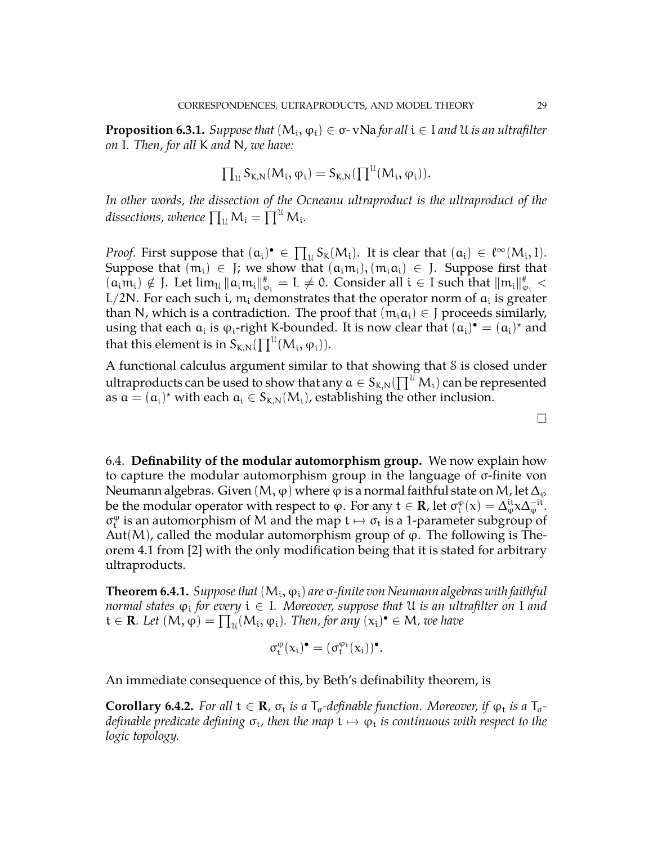**Proposition 6.3.1.** *Suppose that*  $(M<sub>i</sub>, φ<sub>i</sub>) ∈ σ$ -vNa *for all*  $i ∈ I$  *and* U *is an ultrafilter on* I*. Then, for all* K *and* N*, we have:*

$$
\prod\nolimits_{\mathcal{U}}S_{K,N}(M_i,\phi_i)=S_{K,N}(\prod\nolimits^{\mathcal{U}}(M_i,\phi_i)).
$$

*In other words, the dissection of the Ocneanu ultraproduct is the ultraproduct of the* dissections, whence  $\prod_{\mathfrak{U}}\mathsf{M}_{\mathfrak{t}} = \prod^{\mathfrak{U}}\mathsf{M}_{\mathfrak{t}}.$ 

*Proof.* First suppose that  $(a_i)^{\bullet} \in \prod_u S_k(M_i)$ . It is clear that  $(a_i) \in \ell^{\infty}(M_i, I)$ . Suppose that  $(m_i) \in J$ ; we show that  $(a_i m_i), (m_i a_i) \in J$ . Suppose first that  $(\alpha_i m_i) \notin J$ . Let  $\lim_{\mathcal{U}} ||\alpha_i m_i||_{\varphi_i}^* = L \neq 0$ . Consider all  $i \in I$  such that  $||m_i||_{\varphi_i}^* <$ L/2N. For each such i,  $m_i$  demonstrates that the operator norm of  $a_i$  is greater than N, which is a contradiction. The proof that  $(m_i a_i) \in J$  proceeds similarly, using that each  $a_i$  is  $\varphi_i$ -right K-bounded. It is now clear that  $(a_i)^{\bullet} = (a_i)^{\star}$  and that this element is in  $\mathsf{S}_{\mathsf{K},\mathsf{N}}(\prod^{\mathfrak{U}}(\mathsf{M}_{\mathfrak{i}},\varphi_{\mathfrak{i}})).$ 

A functional calculus argument similar to that showing that S is closed under ultraproducts can be used to show that any  $\mathfrak{a}\in \mathsf{S}_{\mathsf{K},\mathsf{N}}(\prod^{\mathfrak{U}}\mathsf{M}_{\mathfrak{t}})$  can be represented as  $\mathfrak{a} = (\mathfrak{a}_i)^*$  with each  $\mathfrak{a}_i \in S_{K,N}(M_i)$ , establishing the other inclusion.

<span id="page-28-0"></span>6.4. **Definability of the modular automorphism group.** We now explain how to capture the modular automorphism group in the language of σ-finite von Neumann algebras. Given (M,  $\varphi$ ) where  $\varphi$  is a normal faithful state on M, let  $\Delta_{\varphi}$ be the modular operator with respect to  $\varphi$ . For any  $t \in \mathbf{R}$ , let  $\sigma_t^{\varphi}(x) = \Delta_{\varphi}^{it} x \Delta_{\varphi}^{-it}$ .  $\sigma_t^{\varphi}$  is an automorphism of M and the map  $t \mapsto \sigma_t$  is a 1-parameter subgroup of  $\Lambda_{t}$ . Aut(M), called the modular automorphism group of  $\varphi$ . The following is Theorem 4.1 from [\[2\]](#page-34-8) with the only modification being that it is stated for arbitrary ultraproducts.

**Theorem 6.4.1.** Suppose that  $(\mathsf{M_{i}}, \varphi_{i})$  are  $\sigma$ -finite von Neumann algebras with faithful *normal states* ϕ<sup>i</sup> *for every* i ∈ I*. Moreover, suppose that* U *is an ultrafilter on* I *and*  $t \in \mathbf{R}$ *. Let*  $(M, \varphi) = \prod_u (M_i, \varphi_i)$ *. Then, for any*  $(x_i)$ <sup>•</sup>  $\in M$ *, we have* 

$$
\sigma_t^\phi(x_i)^\bullet = (\sigma_t^{\phi_i}(x_i))^\bullet.
$$

An immediate consequence of this, by Beth's definability theorem, is

**Corollary 6.4.2.** For all  $t \in \mathbf{R}$ ,  $\sigma_t$  is a  $T_{\sigma}$ -definable function. Moreover, if  $\varphi_t$  is a  $T_{\sigma}$ *definable predicate defining σ<sub>τ</sub>, then the map t*  $\mapsto$  *φ<sub>t</sub> is continuous with respect to the<br>logis tenelegy logic topology.*

 $\Box$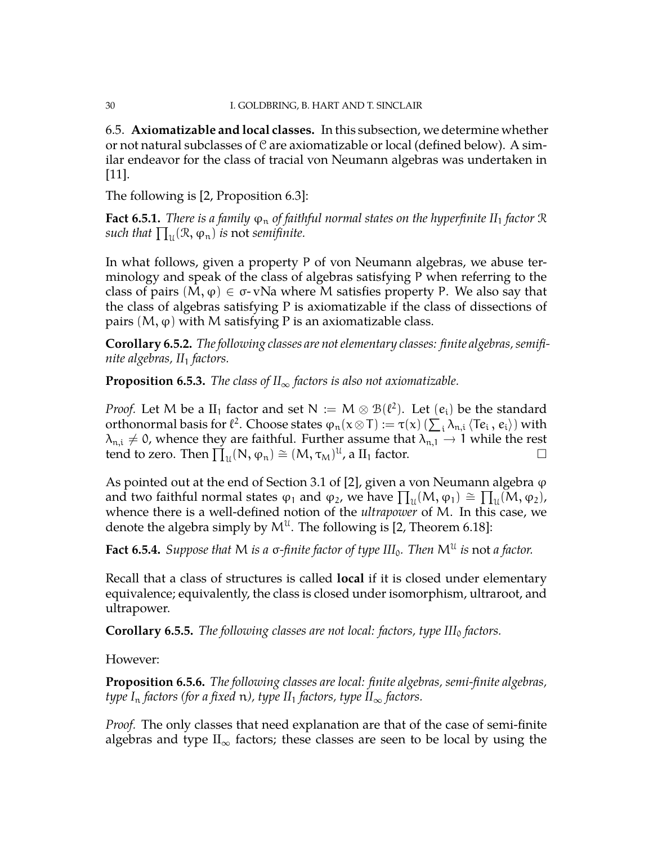<span id="page-29-0"></span>6.5. **Axiomatizable and local classes.** In this subsection, we determine whether or not natural subclasses of  $\mathcal C$  are axiomatizable or local (defined below). A similar endeavor for the class of tracial von Neumann algebras was undertaken in [\[11\]](#page-34-1).

The following is [\[2,](#page-34-8) Proposition 6.3]:

**Fact 6.5.1.** *There is a family*  $\varphi_n$  *of faithful normal states on the hyperfinite II<sub>1</sub> factor*  $\Re$ *such that*  $\prod_{\mathfrak{U}}(\mathfrak{R}, \varphi_n)$  *is* not *semifinite.* 

In what follows, given a property P of von Neumann algebras, we abuse terminology and speak of the class of algebras satisfying P when referring to the class of pairs  $(M, \varphi) \in \sigma$ - vNa where M satisfies property P. We also say that the class of algebras satisfying P is axiomatizable if the class of dissections of pairs  $(M, \varphi)$  with M satisfying P is an axiomatizable class.

**Corollary 6.5.2.** *The following classes are not elementary classes: finite algebras, semifinite algebras, II*<sup>1</sup> *factors.*

**Proposition 6.5.3.** *The class of*  $II_{\infty}$  *factors is also not axiomatizable.* 

*Proof.* Let M be a II<sub>1</sub> factor and set  $N := M \otimes B(\ell^2)$ . Let  $(e_i)$  be the standard orthonormal basis for  $\ell^2$ . Choose states  $\varphi_n(x \otimes T) := \tau(x) \left( \sum_i \lambda_{n,i} \langle Te_i, e_i \rangle \right)$  with  $\lambda_{n,i} \neq 0$ , whence they are faithful. Further assume that  $\lambda_{n,1} \to 1$  while the rest tend to zero. Then  $\prod_{i} (\mathbb{N}, \varphi_{n}) \cong (M, \tau_{M})^{\mathcal{U}}$ , a  $\text{II}_{1}$  factor. tend to zero. Then  $\prod_{\mathfrak{U}}(N, \varphi_n) \cong (M, \tau_M)^{\mathfrak{U}}$ , a  $\text{II}_1$  factor.

As pointed out at the end of Section 3.1 of [\[2\]](#page-34-8), given a von Neumann algebra  $\varphi$ and two faithful normal states  $\varphi_1$  and  $\varphi_2$ , we have  $\prod_u(M, \varphi_1) \cong \prod_u(M, \varphi_2)$ , whence there is a well-defined notion of the *ultrapower* of M. In this case, we denote the algebra simply by  $M^{\mathfrak{U}}$ . The following is [\[2,](#page-34-8) Theorem 6.18]:

<span id="page-29-1"></span>**Fact 6.5.4.** *Suppose that* M *is a* σ*-finite factor of type III*0*. Then* M<sup>U</sup> *is* not *a factor.*

Recall that a class of structures is called **local** if it is closed under elementary equivalence; equivalently, the class is closed under isomorphism, ultraroot, and ultrapower.

**Corollary 6.5.5.** *The following classes are not local: factors, type III*<sub>0</sub> *factors.* 

However:

**Proposition 6.5.6.** *The following classes are local: finite algebras, semi-finite algebras, type*  $I_n$  *factors (for a fixed n), type*  $II_1$  *factors, type*  $II_\infty$  *factors.* 

*Proof.* The only classes that need explanation are that of the case of semi-finite algebras and type  $II_{\infty}$  factors; these classes are seen to be local by using the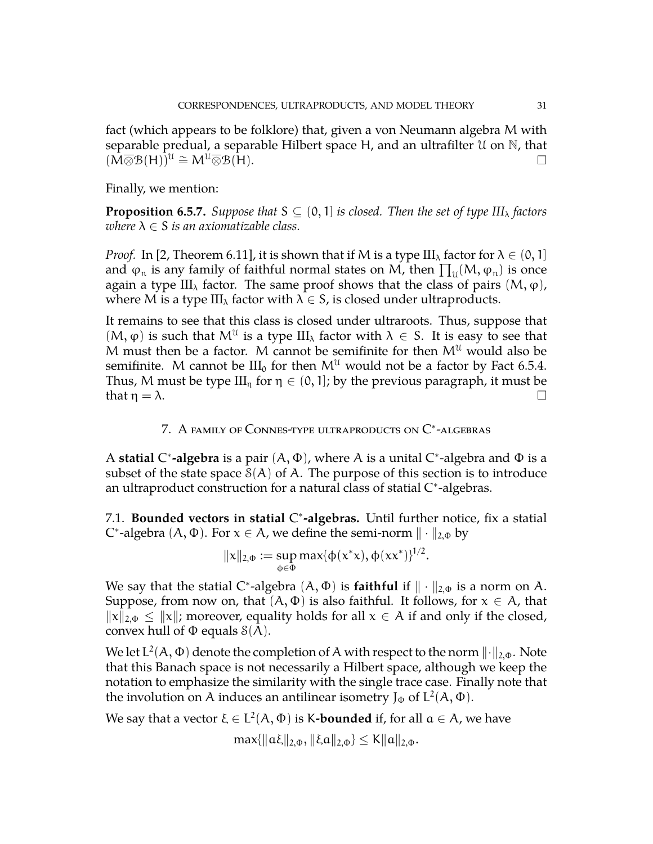fact (which appears to be folklore) that, given a von Neumann algebra M with separable predual, a separable Hilbert space H, and an ultrafilter U on N, that  $(\overline{M}\overline{\otimes}B(H))^{\mathfrak{U}}\cong M^{\mathfrak{U}}\overline{\otimes}B(\overline{H}).$ 

Finally, we mention:

**Proposition 6.5.7.** *Suppose that*  $S \subseteq (0, 1]$  *is closed. Then the set of type III<sub>* $\lambda$ *</sub> factors where*  $\lambda \in S$  *is an axiomatizable class.* 

*Proof.* In [\[2,](#page-34-8) Theorem 6.11], it is shown that if M is a type  $\text{III}_{\lambda}$  factor for  $\lambda \in (0,1]$ and  $\varphi_n$  is any family of faithful normal states on M, then  $\prod_u (M, \phi_n)$  is once again a type III<sub> $<sub>\lambda</sub>$ </sub> factor. The same proof shows that the class of pairs  $(M, \varphi)$ ,</sub> where M is a type  $III_{\lambda}$  factor with  $\lambda \in S$ , is closed under ultraproducts.

It remains to see that this class is closed under ultraroots. Thus, suppose that  $(M, \varphi)$  is such that  $M^{\mathfrak{U}}$  is a type III<sub> $\lambda$ </sub> factor with  $\lambda \in S$ . It is easy to see that M must then be a factor. M cannot be semifinite for then  $M^{\mathfrak{U}}$  would also be semifinite. M cannot be  $III_0$  for then  $M^U$  would not be a factor by Fact [6.5.4.](#page-29-1) Thus, M must be type  $III_n$  for  $\eta \in (0,1]$ ; by the previous paragraph, it must be that  $\eta = \lambda$ .

# 7. A family of Connes-type ultraproducts on  $\mathrm{C}^*$ -algebras

<span id="page-30-0"></span>A **statial** C<sup>\*</sup>-algebra is a pair (A, Φ), where A is a unital C<sup>\*</sup>-algebra and Φ is a subset of the state space  $\mathcal{S}(A)$  of A. The purpose of this section is to introduce an ultraproduct construction for a natural class of statial  $C^*$ -algebras.

<span id="page-30-1"></span>7.1. **Bounded vectors in statial** C ∗ **-algebras.** Until further notice, fix a statial C<sup>\*</sup>-algebra (A,  $\Phi$ ). For  $x \in A$ , we define the semi-norm  $\|\cdot\|_{2,\Phi}$  by

$$
||x||_{2,\Phi} := \sup_{\phi \in \Phi} max{\{\phi(x^*x), \phi(xx^*)\}}^{1/2}.
$$

We say that the statial C<sup>\*</sup>-algebra  $(A, \Phi)$  is **faithful** if  $\|\cdot\|_{2,\Phi}$  is a norm on A. Suppose, from now on, that  $(A, \Phi)$  is also faithful. It follows, for  $x \in A$ , that  $\|x\|_{2,\Phi} \leq \|x\|$ ; moreover, equality holds for all  $x \in A$  if and only if the closed, convex hull of  $\Phi$  equals  $\mathcal{S}(A)$ .

We let L $^{2}({\rm A},\Phi)$  denote the completion of A with respect to the norm  $\lVert\cdot\rVert_{2,\Phi}.$  Note that this Banach space is not necessarily a Hilbert space, although we keep the notation to emphasize the similarity with the single trace case. Finally note that the involution on A induces an antilinear isometry  $J_{\Phi}$  of  $L^2(A,\Phi).$ 

We say that a vector  $\xi \in L^2(A, \Phi)$  is K**-bounded** if, for all  $a \in A$ , we have

$$
\max\{\|\alpha\xi\|_{2,\Phi}, \|\xi\alpha\|_{2,\Phi}\} \leq K\|\alpha\|_{2,\Phi}.
$$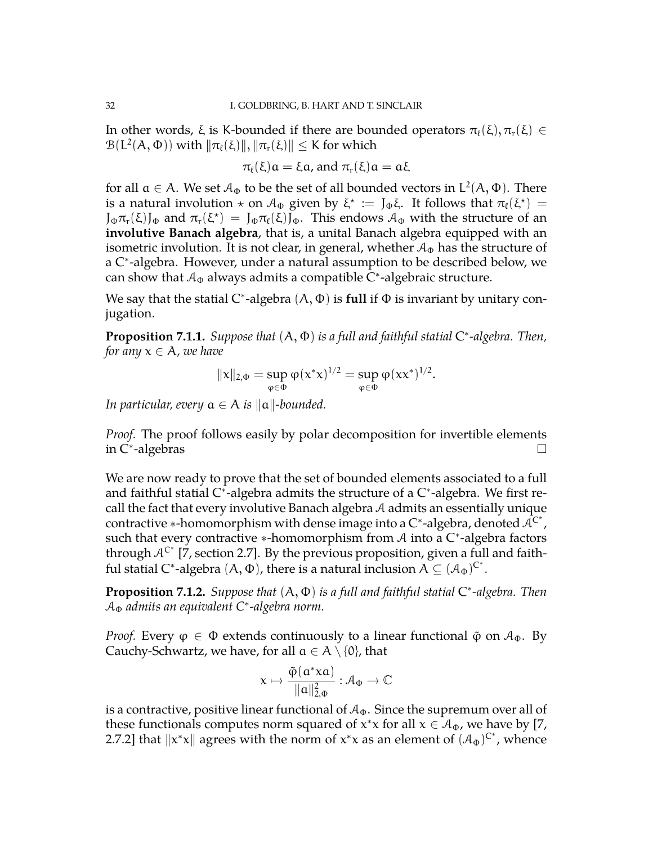In other words, ξ is K-bounded if there are bounded operators  $\pi_{\ell}(\xi), \pi_r(\xi) \in$  $\mathcal{B}(\mathsf{L}^2(\mathsf{A},\Phi))$  with  $\|\pi_\ell(\xi)\|, \|\pi_r(\xi)\| \leq \mathsf{K}$  for which

$$
\pi_{\ell}(\xi)a = \xi a
$$
, and 
$$
\pi_{r}(\xi)a = a\xi
$$

for all  $a \in A$ . We set  $\mathcal{A}_{\Phi}$  to be the set of all bounded vectors in  $\mathsf{L}^2(\mathsf{A},\Phi)$ . There is a natural involution  $\star$  on  $\mathcal{A}_{\Phi}$  given by  $\xi^* := J_{\Phi}\xi$ . It follows that  $\pi_{\ell}(\xi^*) =$  $J_{\Phi}\pi_r(\xi)J_{\Phi}$  and  $\pi_r(\xi^*) = J_{\Phi}\pi_{\ell}(\xi)\bar{J}_{\Phi}$ . This endows  $\mathcal{A}_{\Phi}$  with the structure of an **involutive Banach algebra**, that is, a unital Banach algebra equipped with an isometric involution. It is not clear, in general, whether  $A_{\Phi}$  has the structure of a C<sup>∗</sup> -algebra. However, under a natural assumption to be described below, we can show that  $A_{\Phi}$  always admits a compatible C $^*$ -algebraic structure.

We say that the statial C<sup>\*</sup>-algebra (A, Φ) is full if Φ is invariant by unitary conjugation.

**Proposition 7.1.1.** *Suppose that* (A, Φ) *is a full and faithful statial* C ∗ *-algebra. Then, for any*  $x \in A$ *, we have* 

$$
||x||_{2,\Phi} = \sup_{\varphi \in \Phi} \varphi(x^*x)^{1/2} = \sup_{\varphi \in \Phi} \varphi(xx^*)^{1/2}.
$$

*In particular, every*  $a \in A$  *is*  $\|a\|$ -bounded.

*Proof.* The proof follows easily by polar decomposition for invertible elements in C<sup>∗</sup> -algebras

We are now ready to prove that the set of bounded elements associated to a full and faithful statial C\*-algebra admits the structure of a C\*-algebra. We first recall the fact that every involutive Banach algebra  $A$  admits an essentially unique contractive \*-homomorphism with dense image into a C\*-algebra, denoted  $\mathcal{\tilde{A}^{C^*}}$  , such that every contractive \*-homomorphism from  $A$  into a  $C^*$ -algebra factors through  $A^{C^*}$  [\[7,](#page-34-16) section 2.7]. By the previous proposition, given a full and faithful statial C\*-algebra  $(A, \Phi)$ , there is a natural inclusion  $A \subseteq (A_{\Phi})^{C^*}.$ 

<span id="page-31-0"></span>**Proposition 7.1.2.** *Suppose that* (A, Φ) *is a full and faithful statial* C ∗ *-algebra. Then* A<sup>Φ</sup> *admits an equivalent C*<sup>∗</sup> *-algebra norm.*

*Proof.* Every  $\varphi \in \Phi$  extends continuously to a linear functional  $\tilde{\varphi}$  on  $\mathcal{A}_{\Phi}$ . By Cauchy-Schwartz, we have, for all  $a \in A \setminus \{0\}$ , that

$$
x\mapsto \frac{\tilde{\phi}(\mathfrak{a}^*\!\!x\mathfrak{a})}{\|\mathfrak{a}\|^2_{2,\Phi}}:\mathcal{A}_\Phi\to\mathbb{C}
$$

is a contractive, positive linear functional of  $A_{\Phi}$ . Since the supremum over all of these functionals computes norm squared of  $x^*x$  for all  $x \in \mathcal{A}_{\Phi}$ , we have by [\[7,](#page-34-16) 2.7.2] that  $||x^*x||$  agrees with the norm of  $x^*x$  as an element of  $(A_{\Phi})^{C^*}$ , whence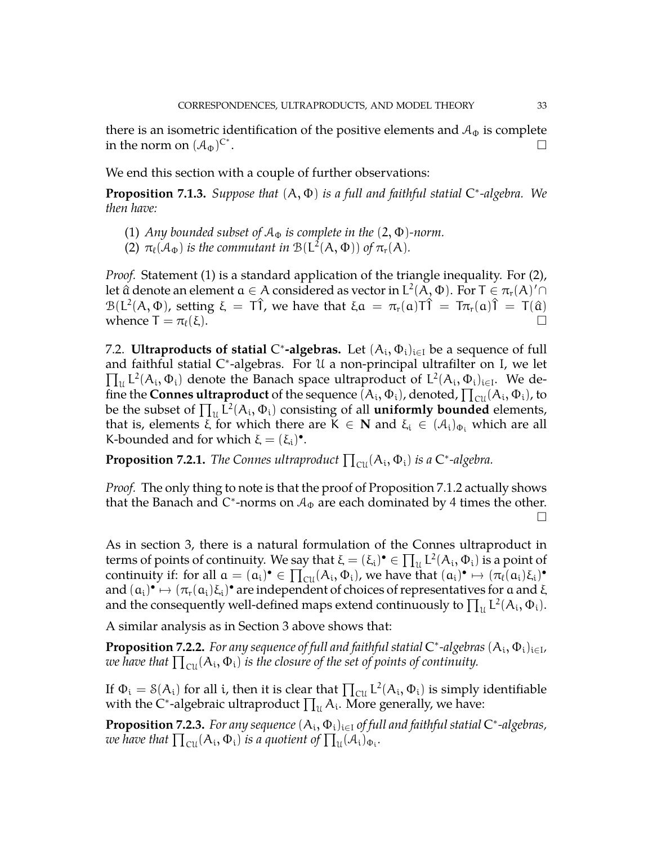there is an isometric identification of the positive elements and  $A_{\Phi}$  is complete in the norm on  $(\mathcal{A}_{\Phi})^{C^*}$ . В последните последните се при последните се при последните се при последните се при последните си<br>Село в последните се при последните се при последните се при последните се при последните се при последните се

We end this section with a couple of further observations:

**Proposition 7.1.3.** *Suppose that* (A, Φ) *is a full and faithful statial* C ∗ *-algebra. We then have:*

- (1) *Any bounded subset of*  $A_{\Phi}$  *is complete in the*  $(2, \Phi)$ *-norm.*
- (2)  $\pi_{\ell}(\mathcal{A}_{\Phi})$  *is the commutant in*  $\mathcal{B}(L^2(A, \Phi))$  *of*  $\pi_r(A)$ *.*

*Proof.* Statement (1) is a standard application of the triangle inequality. For (2), let â denote an element  $\mathfrak{a}\in\mathcal{A}$  considered as vector in  $\mathsf{L}^2(\mathcal{A},\Phi).$  For  $\mathsf{T}\in\pi_\mathsf{r}(\mathcal{A})'\cap$  $\mathcal{B}(L^2(A, \Phi))$ , setting  $\xi = T\hat{1}$ , we have that  $\xi a = \pi_r(a)T\hat{1} = T\pi_r(a)\hat{1} = T(\hat{a})$ whence  $\mathsf{T} = \pi_{\ell}(\xi)$ .

<span id="page-32-0"></span>7.2. **Ultraproducts of statial C\*-algebras.** Let  $(A_i, \Phi_i)_{i \in I}$  be a sequence of full and faithful statial C ∗ -algebras. For U a non-principal ultrafilter on I, we let  $\prod_u L^2(A_i, \Phi_i)$  denote the Banach space ultraproduct of  $L^2(A_i, \Phi_i)_{i \in I}$ . We define the **Connes ultraproduct** of the sequence  $(A_i, \Phi_i)$ , denoted,  $\prod_{\text{CU}} (A_i, \Phi_i)$ , to be the subset of  $\prod_{\mathfrak{U}} \tilde{L}^2(A_i, \Phi_i)$  consisting of all **uniformly bounded** elements, that is, elements  $\xi$  for which there are  $K \in \mathbb{N}$  and  $\xi_i \in (\mathcal{A}_i)_{\Phi_i}$  which are all K-bounded and for which  $\xi = (\xi_i)^{\bullet}$ .

**Proposition 7.2.1.** *The Connes ultraproduct*  $\prod_{\text{CU}}(A_i, \Phi_i)$  *is a*  $\mathsf{C}^*$ -algebra.

*Proof.* The only thing to note is that the proof of Proposition [7.1.2](#page-31-0) actually shows that the Banach and C\*-norms on  $A_{\Phi}$  are each dominated by 4 times the other.  $\Box$ 

As in section 3, there is a natural formulation of the Connes ultraproduct in terms of points of continuity. We say that  $\xi = (\xi_i)^{\bullet} \in \prod_{\mathfrak{U}} \mathsf{L}^2(\mathsf{A}_i, \Phi_i)$  is a point of continuity if: for all  $a = (a_i)^{\bullet} \in \prod_{i=1}^{n} (A_i, \Phi_i)$ , we have that  $(a_i)^{\bullet} \mapsto (\pi_{\ell}(a_i)\xi_i)^{\bullet}$ and  $(a_i) \rightarrow (\pi_r(a_i)\xi_i)$ <sup>o</sup> are independent of choices of representatives for a and  $\xi$ and the consequently well-defined maps extend continuously to  $\prod_u \mathsf{L}^2(\mathsf{A}_\mathfrak{i},\Phi_\mathfrak{i}).$ 

A similar analysis as in Section 3 above shows that:

**Proposition 7.2.2.** For any sequence of full and faithful statial  $C^*$ -algebras  $(A_i, \Phi_i)_{i \in I}$ , we have that  $\prod_{\rm{cu}} ( {\rm A_i} , \Phi_{\rm{i}} )$  is the closure of the set of points of continuity.

If  $\Phi_i = \delta(A_i)$  for all i, then it is clear that  $\prod_{\text{CU}} \mathsf{L}^2(A_i, \Phi_i)$  is simply identifiable with the C\*-algebraic ultraproduct  $\prod_u A_i$ . More generally, we have:

**Proposition 7.2.3.** *For any sequence* (A<sup>i</sup> , Φi)i∈<sup>I</sup> *of full and faithful statial* C ∗ *-algebras,* we have that  $\prod_{\rm{CU}}(A_{\rm{i}},\Phi_{\rm{i}})$  is a quotient of  $\prod_{\rm{U}}(\mathcal{A}_{\rm{i}})_{\Phi_{\rm{i}}}.$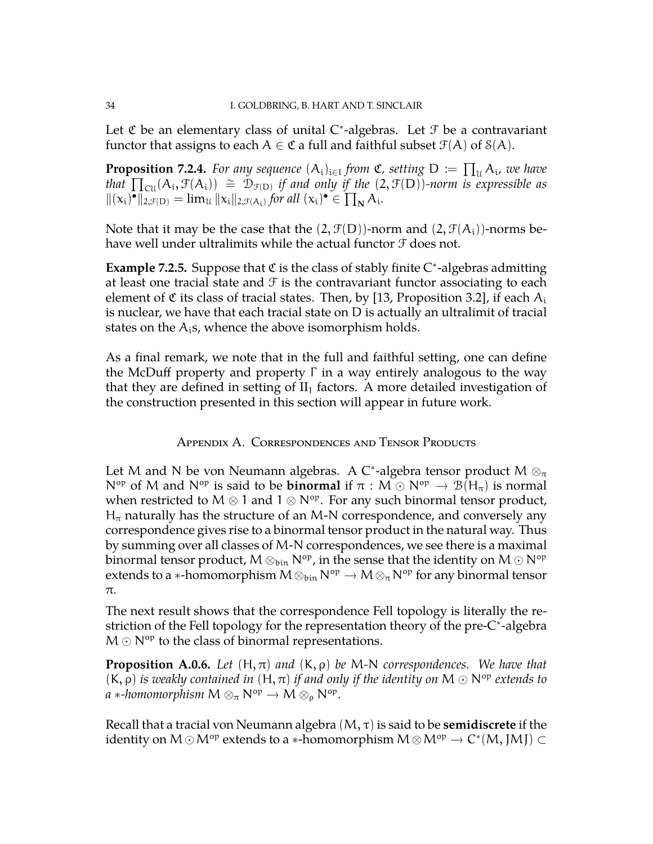Let  $\mathfrak C$  be an elementary class of unital C\*-algebras. Let  $\mathfrak F$  be a contravariant functor that assigns to each  $A \in \mathfrak{C}$  a full and faithful subset  $\mathcal{F}(A)$  of  $\mathcal{S}(A)$ .

**Proposition 7.2.4.** For any sequence  $(A_i)_{i \in I}$  from  $\mathfrak{C}$ , setting  $D := \prod_u A_i$ , we have *that*  $\prod_{\text{cu}}(A_i, \mathcal{F}(A_i))$   $\cong \mathcal{D}_{\mathcal{F}(D)}$  *if and only if the* (2,  $\mathcal{F}(D)$ )*-norm is expressible as*  $\|(x_i)^{\bullet}\|_{2,\mathcal{F}(D)} = \lim_{\mathcal{U}} \|x_i\|_{2,\mathcal{F}(A_i)}$  for all  $(x_i)^{\bullet} \in \prod_{N} A_i$ .

Note that it may be the case that the  $(2, \mathcal{F}(D))$ -norm and  $(2, \mathcal{F}(A_i))$ -norms behave well under ultralimits while the actual functor  $\mathcal F$  does not.

Example 7.2.5. Suppose that *C* is the class of stably finite C<sup>\*</sup>-algebras admitting at least one tracial state and  $\mathcal F$  is the contravariant functor associating to each element of  $\mathfrak C$  its class of tracial states. Then, by [\[13,](#page-34-17) Proposition 3.2], if each  $A_i$ is nuclear, we have that each tracial state on D is actually an ultralimit of tracial states on the  $A_i$ s, whence the above isomorphism holds.

As a final remark, we note that in the full and faithful setting, one can define the McDuff property and property  $Γ$  in a way entirely analogous to the way that they are defined in setting of  $II_1$  factors. A more detailed investigation of the construction presented in this section will appear in future work.

Appendix A. Correspondences and Tensor Products

<span id="page-33-0"></span>Let M and N be von Neumann algebras. A C<sup>\*</sup>-algebra tensor product M  $\otimes_{\pi}$ N<sup>op</sup> of M and N<sup>op</sup> is said to be **binormal** if  $\pi : M \odot N^{op} \rightarrow B(H_{\pi})$  is normal when restricted to M  $\otimes$  1 and 1  $\otimes$  N<sup>op</sup>. For any such binormal tensor product,  $H_{\pi}$  naturally has the structure of an M-N correspondence, and conversely any correspondence gives rise to a binormal tensor product in the natural way. Thus by summing over all classes of M-N correspondences, we see there is a maximal binormal tensor product,  $M \otimes_{\text{bin}} N^{\text{op}}$ , in the sense that the identity on  $M \odot N^{\text{op}}$ extends to a ∗-homomorphism  $M \otimes_{bin} N^{op} \to M \otimes_{\pi} N^{op}$  for any binormal tensor π.

The next result shows that the correspondence Fell topology is literally the restriction of the Fell topology for the representation theory of the pre-C<sup>∗</sup> -algebra  $M \odot N^{op}$  to the class of binormal representations.

**Proposition A.0.6.** *Let*  $(H, \pi)$  *and*  $(K, \rho)$  *be* M-N *correspondences. We have that*  $(K, \rho)$  *is weakly contained in*  $(H, \pi)$  *if and only if the identity on*  $M \odot N^{op}$  *extends to*  $a$  ∗*-homomorphism*  $M \otimes_{\pi} N^{op} \to M \otimes_{\rho} N^{op}$ .

Recall that a tracial von Neumann algebra (M, τ) is said to be **semidiscrete** if the identity on  $M \odot M^\text{op}$  extends to a  $*$ -homomorphism  $M \otimes M^\text{op} \to C^*(M, JMJ) \subset$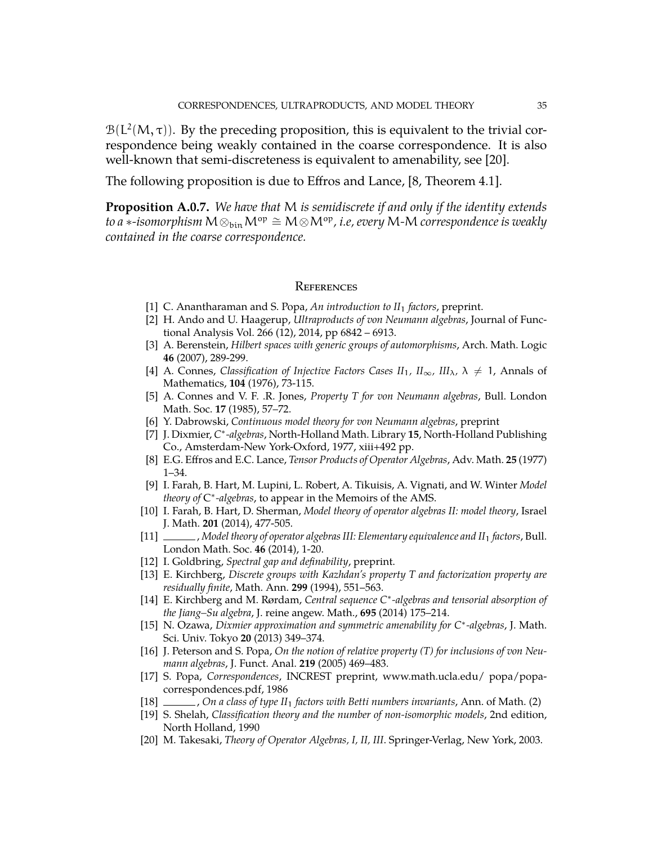$B(L<sup>2</sup>(M, \tau))$ . By the preceding proposition, this is equivalent to the trivial correspondence being weakly contained in the coarse correspondence. It is also well-known that semi-discreteness is equivalent to amenability, see [\[20\]](#page-34-15).

The following proposition is due to Effros and Lance, [\[8,](#page-34-18) Theorem 4.1].

<span id="page-34-14"></span>**Proposition A.0.7.** *We have that* M *is semidiscrete if and only if the identity extends to a* ∗*-isomorphism*  $M \otimes_{\text{bin}} M^{\text{op}} \cong M \otimes M^{\text{op}}$ , *i.e, every* M-M *correspondence is weakly contained in the coarse correspondence.*

#### **REFERENCES**

- <span id="page-34-11"></span>[1] C. Anantharaman and S. Popa, *An introduction to II*<sup>1</sup> *factors*, preprint.
- <span id="page-34-8"></span>[2] H. Ando and U. Haagerup, *Ultraproducts of von Neumann algebras*, Journal of Functional Analysis Vol. 266 (12), 2014, pp 6842 – 6913.
- <span id="page-34-13"></span>[3] A. Berenstein, *Hilbert spaces with generic groups of automorphisms*, Arch. Math. Logic **46** (2007), 289-299.
- <span id="page-34-2"></span>[4] A. Connes, *Classification of Injective Factors Cases*  $II_1$ *,*  $II_{\infty}$ *,*  $III_{\lambda}$ *,*  $\lambda \neq 1$ *, Annals of* Mathematics, **104** (1976), 73-115.
- <span id="page-34-3"></span>[5] A. Connes and V. F. .R. Jones, *Property T for von Neumann algebras*, Bull. London Math. Soc. **17** (1985), 57–72.
- <span id="page-34-7"></span>[6] Y. Dabrowski, *Continuous model theory for von Neumann algebras*, preprint
- <span id="page-34-16"></span>[7] J. Dixmier, *C* ∗ *-algebras*, North-Holland Math. Library **15**, North-Holland Publishing Co., Amsterdam-New York-Oxford, 1977, xiii+492 pp.
- <span id="page-34-18"></span>[8] E.G. Effros and E.C. Lance, *Tensor Products of Operator Algebras*, Adv. Math. **25** (1977) 1–34.
- <span id="page-34-10"></span>[9] I. Farah, B. Hart, M. Lupini, L. Robert, A. Tikuisis, A. Vignati, and W. Winter *Model theory of* C ∗ *-algebras*, to appear in the Memoirs of the AMS.
- <span id="page-34-0"></span>[10] I. Farah, B. Hart, D. Sherman, *Model theory of operator algebras II: model theory*, Israel J. Math. **201** (2014), 477-505.
- <span id="page-34-1"></span>[11] , *Model theory of operator algebras III: Elementary equivalence and II*<sup>1</sup> *factors*, Bull. London Math. Soc. **46** (2014), 1-20.
- <span id="page-34-6"></span>[12] I. Goldbring, *Spectral gap and definability*, preprint.
- <span id="page-34-17"></span>[13] E. Kirchberg, *Discrete groups with Kazhdan's property T and factorization property are residually finite*, Math. Ann. **299** (1994), 551–563.
- [14] E. Kirchberg and M. Rørdam, *Central sequence C*<sup>∗</sup> *-algebras and tensorial absorption of the Jiang–Su algebra*, J. reine angew. Math., **695** (2014) 175–214.
- <span id="page-34-9"></span>[15] N. Ozawa, *Dixmier approximation and symmetric amenability for C*<sup>∗</sup> *-algebras*, J. Math. Sci. Univ. Tokyo **20** (2013) 349–374.
- [16] J. Peterson and S. Popa, *On the notion of relative property (T) for inclusions of von Neumann algebras*, J. Funct. Anal. **219** (2005) 469–483.
- <span id="page-34-4"></span>[17] S. Popa, *Correspondences*, INCREST preprint, www.math.ucla.edu/ popa/popacorrespondences.pdf, 1986
- <span id="page-34-5"></span>[18] , *On a class of type II*<sup>1</sup> *factors with Betti numbers invariants*, Ann. of Math. (2)
- <span id="page-34-12"></span>[19] S. Shelah, *Classification theory and the number of non-isomorphic models*, 2nd edition, North Holland, 1990
- <span id="page-34-15"></span>[20] M. Takesaki, *Theory of Operator Algebras, I, II, III*. Springer-Verlag, New York, 2003.